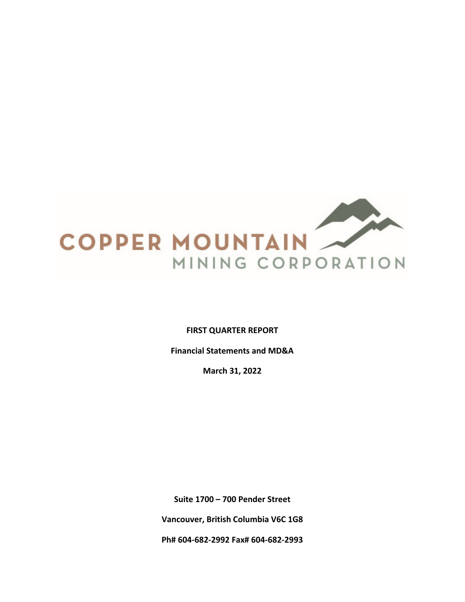

**FIRST QUARTER REPORT**

**Financial Statements and MD&A**

**March 31, 2022**

**Suite 1700 – 700 Pender Street Vancouver, British Columbia V6C 1G8** 

**Ph# 604‐682‐2992 Fax# 604‐682‐2993**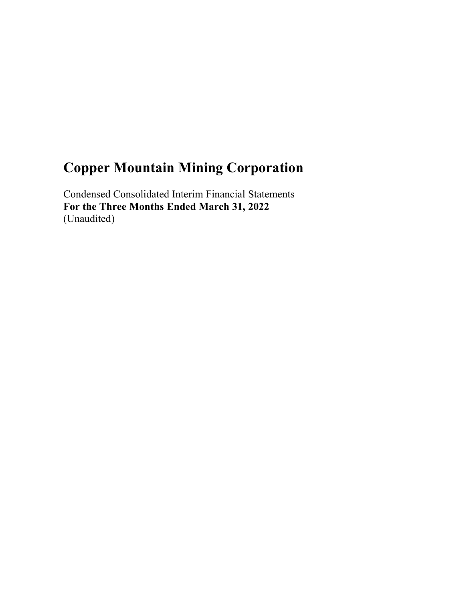Condensed Consolidated Interim Financial Statements **For the Three Months Ended March 31, 2022**  (Unaudited)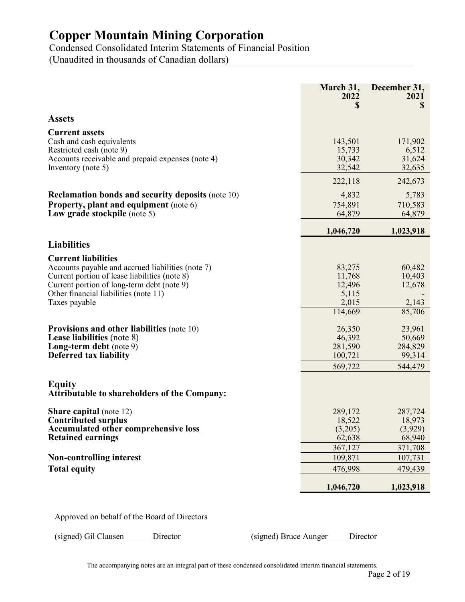Condensed Consolidated Interim Statements of Financial Position (Unaudited in thousands of Canadian dollars)

|                                                                                                                                                                                                                                                                                                                                                                                                                                                                 | March 31,<br>2022<br>\$                                                                                      | December 31,<br>2021<br>\$                                                                        |
|-----------------------------------------------------------------------------------------------------------------------------------------------------------------------------------------------------------------------------------------------------------------------------------------------------------------------------------------------------------------------------------------------------------------------------------------------------------------|--------------------------------------------------------------------------------------------------------------|---------------------------------------------------------------------------------------------------|
| <b>Assets</b>                                                                                                                                                                                                                                                                                                                                                                                                                                                   |                                                                                                              |                                                                                                   |
| <b>Current assets</b><br>Cash and cash equivalents<br>Restricted cash (note 9)<br>Accounts receivable and prepaid expenses (note 4)<br>Inventory (note 5)                                                                                                                                                                                                                                                                                                       | 143,501<br>15,733<br>30,342<br>32,542                                                                        | 171,902<br>6,512<br>31,624<br>32,635                                                              |
|                                                                                                                                                                                                                                                                                                                                                                                                                                                                 | 222,118                                                                                                      | 242,673                                                                                           |
| <b>Reclamation bonds and security deposits (note 10)</b><br><b>Property, plant and equipment</b> (note 6)<br>Low grade stockpile (note 5)                                                                                                                                                                                                                                                                                                                       | 4,832<br>754,891<br>64,879                                                                                   | 5,783<br>710,583<br>64,879                                                                        |
|                                                                                                                                                                                                                                                                                                                                                                                                                                                                 | 1,046,720                                                                                                    | 1,023,918                                                                                         |
| <b>Liabilities</b>                                                                                                                                                                                                                                                                                                                                                                                                                                              |                                                                                                              |                                                                                                   |
| <b>Current liabilities</b><br>Accounts payable and accrued liabilities (note 7)<br>Current portion of lease liabilities (note 8)<br>Current portion of long-term debt (note 9)<br>Other financial liabilities (note 11)<br>Taxes payable<br><b>Provisions and other liabilities (note 10)</b><br><b>Lease liabilities</b> (note 8)<br>Long-term debt (note 9)<br>Deferred tax liability<br><b>Equity</b><br><b>Attributable to shareholders of the Company:</b> | 83,275<br>11,768<br>12,496<br>5,115<br>2,015<br>114,669<br>26,350<br>46,392<br>281,590<br>100,721<br>569,722 | 60,482<br>10,403<br>12,678<br>2,143<br>85,706<br>23,961<br>50,669<br>284,829<br>99,314<br>544,479 |
| <b>Share capital</b> (note 12)<br><b>Contributed surplus</b><br><b>Accumulated other comprehensive loss</b><br><b>Retained earnings</b>                                                                                                                                                                                                                                                                                                                         | 289,172<br>18,522<br>(3,205)<br>62,638<br>367,127                                                            | 287,724<br>18,973<br>(3,929)<br>68,940<br>371,708                                                 |
| <b>Non-controlling interest</b>                                                                                                                                                                                                                                                                                                                                                                                                                                 | 109,871                                                                                                      | 107,731                                                                                           |
| <b>Total equity</b>                                                                                                                                                                                                                                                                                                                                                                                                                                             | 476,998                                                                                                      | 479,439                                                                                           |
|                                                                                                                                                                                                                                                                                                                                                                                                                                                                 | 1,046,720                                                                                                    | 1,023,918                                                                                         |

Approved on behalf of the Board of Directors

(signed) Gil Clausen Director (signed) Bruce Aunger Director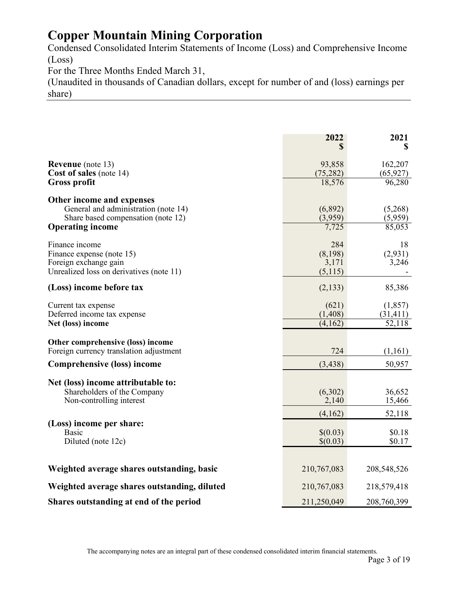Condensed Consolidated Interim Statements of Income (Loss) and Comprehensive Income (Loss)

For the Three Months Ended March 31,

(Unaudited in thousands of Canadian dollars, except for number of and (loss) earnings per share)

|                                                                   | 2022<br>S           | 2021<br>\$           |
|-------------------------------------------------------------------|---------------------|----------------------|
|                                                                   |                     |                      |
| <b>Revenue</b> (note 13)<br><b>Cost of sales</b> (note 14)        | 93,858<br>(75, 282) | 162,207<br>(65, 927) |
| <b>Gross profit</b>                                               | 18,576              | 96,280               |
|                                                                   |                     |                      |
| Other income and expenses<br>General and administration (note 14) | (6,892)             | (5,268)              |
| Share based compensation (note 12)                                | (3,959)             | (5,959)              |
| <b>Operating income</b>                                           | 7,725               | 85,053               |
| Finance income                                                    | 284                 | 18                   |
| Finance expense (note 15)                                         | (8,198)             | (2,931)              |
| Foreign exchange gain                                             | 3,171               | 3,246                |
| Unrealized loss on derivatives (note 11)                          | (5,115)             |                      |
| (Loss) income before tax                                          | (2, 133)            | 85,386               |
| Current tax expense                                               | (621)               | (1, 857)             |
| Deferred income tax expense                                       | (1, 408)            | (31, 411)            |
| Net (loss) income                                                 | (4,162)             | 52,118               |
| Other comprehensive (loss) income                                 |                     |                      |
| Foreign currency translation adjustment                           | 724                 | (1,161)              |
| <b>Comprehensive (loss) income</b>                                | (3, 438)            | 50,957               |
| Net (loss) income attributable to:                                |                     |                      |
| Shareholders of the Company                                       | (6,302)             | 36,652               |
| Non-controlling interest                                          | 2,140               | 15,466               |
|                                                                   | (4,162)             | 52,118               |
| (Loss) income per share:                                          |                     |                      |
| <b>Basic</b>                                                      | \$(0.03)            | \$0.18               |
| Diluted (note 12c)                                                | \$(0.03)            | \$0.17               |
|                                                                   |                     |                      |
| Weighted average shares outstanding, basic                        | 210,767,083         | 208,548,526          |
| Weighted average shares outstanding, diluted                      | 210,767,083         | 218,579,418          |
| Shares outstanding at end of the period                           | 211,250,049         | 208,760,399          |

The accompanying notes are an integral part of these condensed consolidated interim financial statements.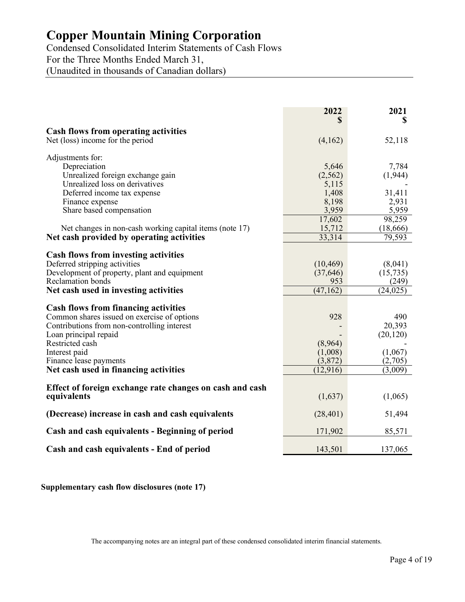Condensed Consolidated Interim Statements of Cash Flows For the Three Months Ended March 31,

(Unaudited in thousands of Canadian dollars)

|                                                                                 | 2022<br>S | 2021<br>S          |
|---------------------------------------------------------------------------------|-----------|--------------------|
|                                                                                 |           |                    |
| <b>Cash flows from operating activities</b><br>Net (loss) income for the period | (4,162)   | 52,118             |
| Adjustments for:                                                                |           |                    |
| Depreciation                                                                    | 5,646     | 7,784              |
| Unrealized foreign exchange gain                                                | (2,562)   | (1, 944)           |
| Unrealized loss on derivatives                                                  | 5,115     |                    |
| Deferred income tax expense                                                     | 1,408     | 31,411             |
| Finance expense                                                                 | 8,198     | 2,931              |
| Share based compensation                                                        | 3,959     | 5,959              |
|                                                                                 | 17,602    | 98,259             |
| Net changes in non-cash working capital items (note 17)                         | 15,712    | (18,666)           |
| Net cash provided by operating activities                                       | 33,314    | 79,593             |
|                                                                                 |           |                    |
| <b>Cash flows from investing activities</b>                                     |           |                    |
| Deferred stripping activities                                                   | (10, 469) | (8,041)            |
| Development of property, plant and equipment<br><b>Reclamation</b> bonds        | (37, 646) | (15, 735)          |
|                                                                                 | 953       | (249)<br>(24, 025) |
| Net cash used in investing activities                                           | (47, 162) |                    |
| <b>Cash flows from financing activities</b>                                     |           |                    |
| Common shares issued on exercise of options                                     | 928       | 490                |
| Contributions from non-controlling interest                                     |           | 20,393             |
| Loan principal repaid                                                           |           | (20, 120)          |
| Restricted cash                                                                 | (8,964)   |                    |
| Interest paid                                                                   | (1,008)   | (1,067)            |
| Finance lease payments                                                          | (3,872)   | (2,705)            |
| Net cash used in financing activities                                           | (12, 916) | (3,009)            |
|                                                                                 |           |                    |
| Effect of foreign exchange rate changes on cash and cash                        |           |                    |
| equivalents                                                                     | (1,637)   | (1,065)            |
| (Decrease) increase in cash and cash equivalents                                | (28, 401) | 51,494             |
| Cash and cash equivalents - Beginning of period                                 | 171,902   | 85,571             |
| Cash and cash equivalents - End of period                                       | 143,501   | 137,065            |

**Supplementary cash flow disclosures (note 17)** 

The accompanying notes are an integral part of these condensed consolidated interim financial statements.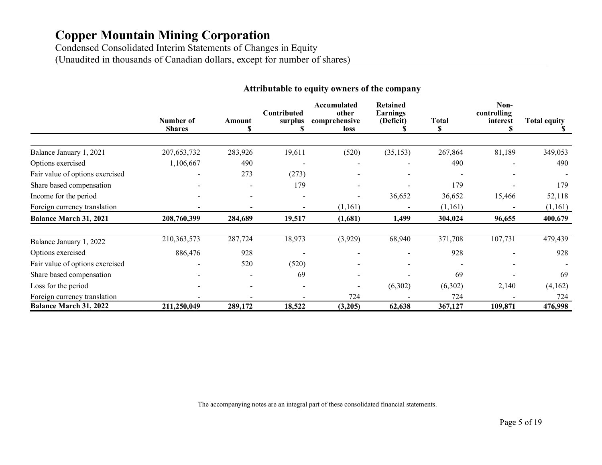Condensed Consolidated Interim Statements of Changes in Equity (Unaudited in thousands of Canadian dollars, except for number of shares)

|                                 | Number of     | Amount                   | Contributed<br>surplus | Accumulated<br>other<br>comprehensive | Retained<br>Earnings<br>(Deficit) | <b>Total</b> | Non-<br>controlling<br>interest | <b>Total equity</b> |
|---------------------------------|---------------|--------------------------|------------------------|---------------------------------------|-----------------------------------|--------------|---------------------------------|---------------------|
|                                 | <b>Shares</b> |                          |                        | loss                                  |                                   | S            |                                 |                     |
| Balance January 1, 2021         | 207, 653, 732 | 283,926                  | 19,611                 | (520)                                 | (35, 153)                         | 267,864      | 81,189                          | 349,053             |
| Options exercised               | 1,106,667     | 490                      |                        |                                       |                                   | 490          |                                 | 490                 |
| Fair value of options exercised |               | 273                      | (273)                  |                                       |                                   |              |                                 |                     |
| Share based compensation        |               | $\overline{\phantom{a}}$ | 179                    |                                       | $\overline{\phantom{0}}$          | 179          |                                 | 179                 |
| Income for the period           |               | $\overline{\phantom{a}}$ |                        |                                       | 36,652                            | 36,652       | 15,466                          | 52,118              |
| Foreign currency translation    |               |                          |                        | (1,161)                               | $\overline{\phantom{0}}$          | (1,161)      |                                 | (1, 161)            |
| <b>Balance March 31, 2021</b>   | 208,760,399   | 284,689                  | 19,517                 | (1,681)                               | 1,499                             | 304,024      | 96,655                          | 400,679             |
| Balance January 1, 2022         | 210, 363, 573 | 287,724                  | 18,973                 | (3,929)                               | 68,940                            | 371,708      | 107,731                         | 479,439             |
| Options exercised               | 886,476       | 928                      |                        |                                       |                                   | 928          |                                 | 928                 |
| Fair value of options exercised |               | 520                      | (520)                  |                                       |                                   |              |                                 |                     |
| Share based compensation        |               |                          | 69                     |                                       |                                   | 69           |                                 | 69                  |
| Loss for the period             |               |                          |                        |                                       | (6,302)                           | (6,302)      | 2,140                           | (4,162)             |
| Foreign currency translation    |               |                          |                        | 724                                   |                                   | 724          |                                 | 724                 |
| <b>Balance March 31, 2022</b>   | 211,250,049   | 289,172                  | 18,522                 | (3,205)                               | 62,638                            | 367,127      | 109,871                         | 476,998             |

## **Attributable to equity owners of the company**

The accompanying notes are an integral part of these consolidated financial statements.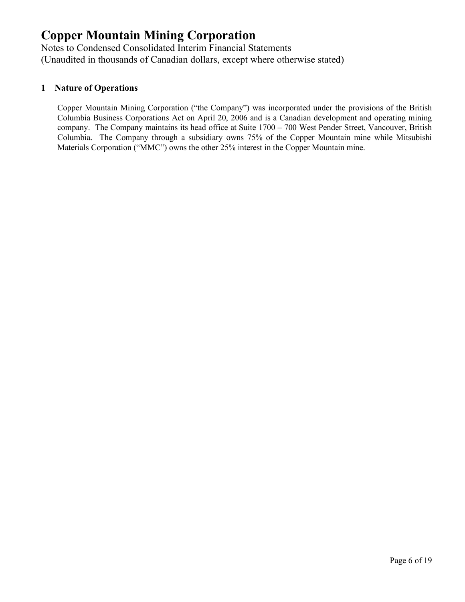Notes to Condensed Consolidated Interim Financial Statements (Unaudited in thousands of Canadian dollars, except where otherwise stated)

## **1 Nature of Operations**

Copper Mountain Mining Corporation ("the Company") was incorporated under the provisions of the British Columbia Business Corporations Act on April 20, 2006 and is a Canadian development and operating mining company. The Company maintains its head office at Suite 1700 – 700 West Pender Street, Vancouver, British Columbia. The Company through a subsidiary owns 75% of the Copper Mountain mine while Mitsubishi Materials Corporation ("MMC") owns the other 25% interest in the Copper Mountain mine.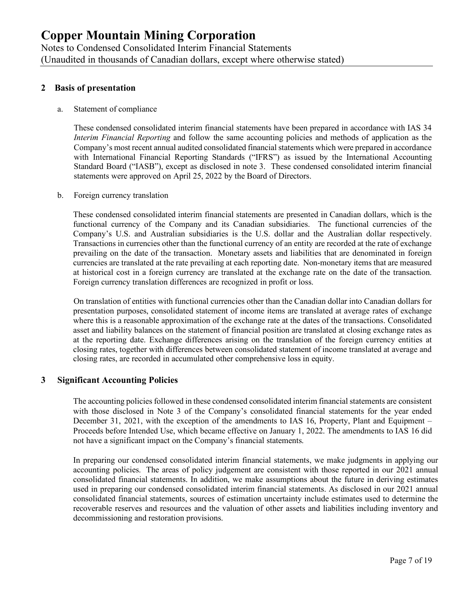Notes to Condensed Consolidated Interim Financial Statements (Unaudited in thousands of Canadian dollars, except where otherwise stated)

## **2 Basis of presentation**

#### a. Statement of compliance

These condensed consolidated interim financial statements have been prepared in accordance with IAS 34 *Interim Financial Reporting* and follow the same accounting policies and methods of application as the Company's most recent annual audited consolidated financial statements which were prepared in accordance with International Financial Reporting Standards ("IFRS") as issued by the International Accounting Standard Board ("IASB"), except as disclosed in note 3. These condensed consolidated interim financial statements were approved on April 25, 2022 by the Board of Directors.

#### b. Foreign currency translation

These condensed consolidated interim financial statements are presented in Canadian dollars, which is the functional currency of the Company and its Canadian subsidiaries. The functional currencies of the Company's U.S. and Australian subsidiaries is the U.S. dollar and the Australian dollar respectively. Transactions in currencies other than the functional currency of an entity are recorded at the rate of exchange prevailing on the date of the transaction. Monetary assets and liabilities that are denominated in foreign currencies are translated at the rate prevailing at each reporting date. Non-monetary items that are measured at historical cost in a foreign currency are translated at the exchange rate on the date of the transaction. Foreign currency translation differences are recognized in profit or loss.

On translation of entities with functional currencies other than the Canadian dollar into Canadian dollars for presentation purposes, consolidated statement of income items are translated at average rates of exchange where this is a reasonable approximation of the exchange rate at the dates of the transactions. Consolidated asset and liability balances on the statement of financial position are translated at closing exchange rates as at the reporting date. Exchange differences arising on the translation of the foreign currency entities at closing rates, together with differences between consolidated statement of income translated at average and closing rates, are recorded in accumulated other comprehensive loss in equity.

#### **3 Significant Accounting Policies**

The accounting policies followed in these condensed consolidated interim financial statements are consistent with those disclosed in Note 3 of the Company's consolidated financial statements for the year ended December 31, 2021, with the exception of the amendments to IAS 16, Property, Plant and Equipment – Proceeds before Intended Use, which became effective on January 1, 2022. The amendments to IAS 16 did not have a significant impact on the Company's financial statements.

In preparing our condensed consolidated interim financial statements, we make judgments in applying our accounting policies. The areas of policy judgement are consistent with those reported in our 2021 annual consolidated financial statements. In addition, we make assumptions about the future in deriving estimates used in preparing our condensed consolidated interim financial statements. As disclosed in our 2021 annual consolidated financial statements, sources of estimation uncertainty include estimates used to determine the recoverable reserves and resources and the valuation of other assets and liabilities including inventory and decommissioning and restoration provisions.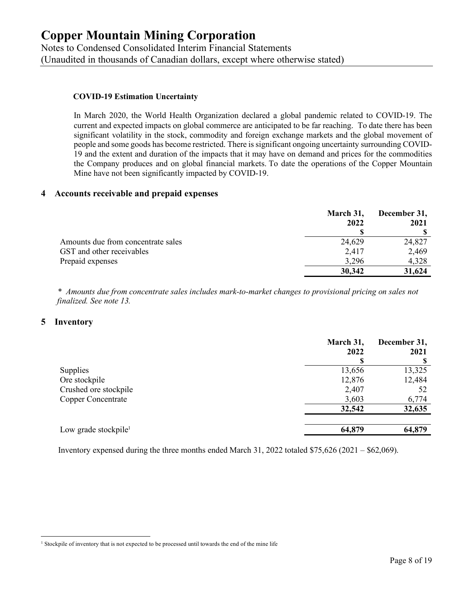Notes to Condensed Consolidated Interim Financial Statements (Unaudited in thousands of Canadian dollars, except where otherwise stated)

#### **COVID-19 Estimation Uncertainty**

In March 2020, the World Health Organization declared a global pandemic related to COVID-19. The current and expected impacts on global commerce are anticipated to be far reaching. To date there has been significant volatility in the stock, commodity and foreign exchange markets and the global movement of people and some goods has become restricted. There is significant ongoing uncertainty surrounding COVID-19 and the extent and duration of the impacts that it may have on demand and prices for the commodities the Company produces and on global financial markets. To date the operations of the Copper Mountain Mine have not been significantly impacted by COVID-19.

#### **4 Accounts receivable and prepaid expenses**

|                                    | March 31, | December 31, |  |
|------------------------------------|-----------|--------------|--|
|                                    | 2022      | 2021         |  |
|                                    |           |              |  |
| Amounts due from concentrate sales | 24,629    | 24,827       |  |
| GST and other receivables          | 2.417     | 2,469        |  |
| Prepaid expenses                   | 3.296     | 4,328        |  |
|                                    | 30,342    | 31,624       |  |

*\* Amounts due from concentrate sales includes mark-to-market changes to provisional pricing on sales not finalized. See note 13.* 

#### **5 Inventory**

|                                  | March 31,<br>2022 | December 31,<br>2021 |
|----------------------------------|-------------------|----------------------|
| Supplies                         | 13,656            | 13,325               |
| Ore stockpile                    | 12,876            | 12,484               |
| Crushed ore stockpile            | 2,407             | 52                   |
| Copper Concentrate               | 3,603             | 6,774                |
|                                  | 32,542            | 32,635               |
|                                  |                   |                      |
| Low grade stockpile <sup>1</sup> | 64,879            | 64,879               |

Inventory expensed during the three months ended March 31, 2022 totaled \$75,626 (2021 – \$62,069).

<sup>&</sup>lt;sup>1</sup> Stockpile of inventory that is not expected to be processed until towards the end of the mine life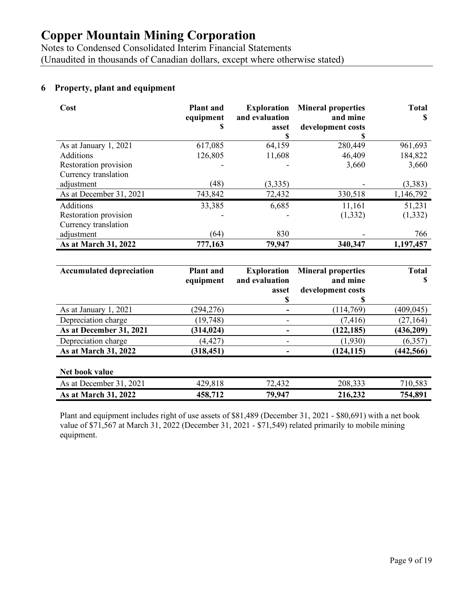Notes to Condensed Consolidated Interim Financial Statements (Unaudited in thousands of Canadian dollars, except where otherwise stated)

## **6 Property, plant and equipment**

| Cost                    | <b>Plant</b> and<br>equipment<br>ъ | <b>Exploration</b><br>and evaluation<br>asset<br>ъ | <b>Mineral properties</b><br>and mine<br>development costs | <b>Total</b><br>S |
|-------------------------|------------------------------------|----------------------------------------------------|------------------------------------------------------------|-------------------|
| As at January 1, 2021   | 617,085                            | 64,159                                             | 280,449                                                    | 961,693           |
| Additions               | 126,805                            | 11,608                                             | 46,409                                                     | 184,822           |
| Restoration provision   |                                    |                                                    | 3,660                                                      | 3,660             |
| Currency translation    |                                    |                                                    |                                                            |                   |
| adjustment              | (48)                               | (3,335)                                            |                                                            | (3,383)           |
| As at December 31, 2021 | 743,842                            | 72,432                                             | 330,518                                                    | 1,146,792         |
| <b>Additions</b>        | 33,385                             | 6,685                                              | 11,161                                                     | 51,231            |
| Restoration provision   |                                    |                                                    | (1, 332)                                                   | (1, 332)          |
| Currency translation    |                                    |                                                    |                                                            |                   |
| adjustment              | (64)                               | 830                                                |                                                            | 766               |
| As at March 31, 2022    | 777,163                            | 79,947                                             | 340,347                                                    | 1,197,457         |

| <b>Accumulated depreciation</b> | <b>Plant</b> and<br>equipment | <b>Exploration</b><br>and evaluation | <b>Mineral properties</b><br>and mine | <b>Total</b><br>S |
|---------------------------------|-------------------------------|--------------------------------------|---------------------------------------|-------------------|
|                                 |                               | asset                                | development costs                     |                   |
|                                 |                               | 5                                    | J.                                    |                   |
| As at January 1, 2021           | (294, 276)                    |                                      | (114,769)                             | (409, 045)        |
| Depreciation charge             | (19, 748)                     |                                      | (7, 416)                              | (27, 164)         |
| As at December 31, 2021         | (314, 024)                    |                                      | (122, 185)                            | (436, 209)        |
| Depreciation charge             | (4, 427)                      |                                      | (1,930)                               | (6,357)           |
| As at March 31, 2022            | (318, 451)                    |                                      | (124, 115)                            | (442, 566)        |
| Net book value                  |                               |                                      |                                       |                   |
| As at December 31, 2021         | 429,818                       | 72,432                               | 208,333                               | 710,583           |
| As at March 31, 2022            | 458,712                       | 79,947                               | 216,232                               | 754,891           |

Plant and equipment includes right of use assets of \$81,489 (December 31, 2021 - \$80,691) with a net book value of \$71,567 at March 31, 2022 (December 31, 2021 - \$71,549) related primarily to mobile mining equipment.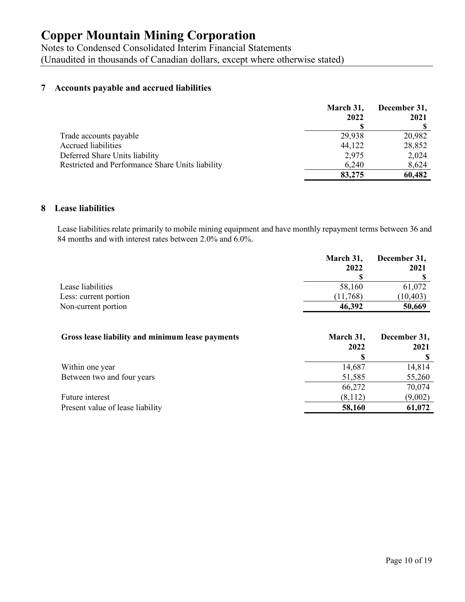Notes to Condensed Consolidated Interim Financial Statements (Unaudited in thousands of Canadian dollars, except where otherwise stated)

## **7 Accounts payable and accrued liabilities**

|                                                  | March 31,<br>2022 | December 31,<br>2021 |
|--------------------------------------------------|-------------------|----------------------|
| Trade accounts payable                           | 29,938            | 20,982               |
| <b>Accrued liabilities</b>                       | 44,122            | 28,852               |
| Deferred Share Units liability                   | 2,975             | 2,024                |
| Restricted and Performance Share Units liability | 6,240             | 8,624                |
|                                                  | 83,275            | 60,482               |

#### **8 Lease liabilities**

Lease liabilities relate primarily to mobile mining equipment and have monthly repayment terms between 36 and 84 months and with interest rates between 2.0% and 6.0%.

|                       | March 31,<br>2022 | December 31, |  |
|-----------------------|-------------------|--------------|--|
|                       |                   | 2021         |  |
|                       |                   |              |  |
| Lease liabilities     | 58,160            | 61,072       |  |
| Less: current portion | (11,768)          | (10, 403)    |  |
| Non-current portion   | 46,392            | 50,669       |  |

| Gross lease liability and minimum lease payments | March 31,<br>2022 | December 31,<br>2021 |
|--------------------------------------------------|-------------------|----------------------|
|                                                  | S                 |                      |
| Within one year                                  | 14,687            | 14,814               |
| Between two and four years                       | 51,585            | 55,260               |
|                                                  | 66,272            | 70,074               |
| Future interest                                  | (8,112)           | (9,002)              |
| Present value of lease liability                 | 58,160            | 61,072               |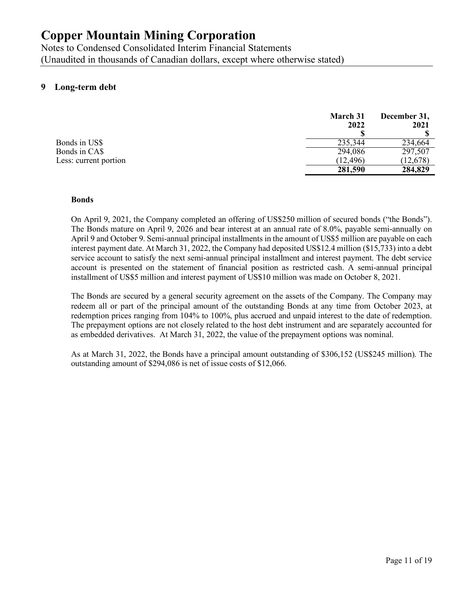Notes to Condensed Consolidated Interim Financial Statements (Unaudited in thousands of Canadian dollars, except where otherwise stated)

## **9 Long-term debt**

|                       | March 31<br>2022 | December 31,<br>2021 |
|-----------------------|------------------|----------------------|
| Bonds in US\$         | 235,344          | 234,664              |
| Bonds in CA\$         | 294,086          | 297,507              |
| Less: current portion | (12, 496)        | (12, 678)            |
|                       | 281,590          | 284,829              |

#### **Bonds**

On April 9, 2021, the Company completed an offering of US\$250 million of secured bonds ("the Bonds"). The Bonds mature on April 9, 2026 and bear interest at an annual rate of 8.0%, payable semi-annually on April 9 and October 9. Semi-annual principal installments in the amount of US\$5 million are payable on each interest payment date. At March 31, 2022, the Company had deposited US\$12.4 million (\$15,733) into a debt service account to satisfy the next semi-annual principal installment and interest payment. The debt service account is presented on the statement of financial position as restricted cash. A semi-annual principal installment of US\$5 million and interest payment of US\$10 million was made on October 8, 2021.

The Bonds are secured by a general security agreement on the assets of the Company. The Company may redeem all or part of the principal amount of the outstanding Bonds at any time from October 2023, at redemption prices ranging from 104% to 100%, plus accrued and unpaid interest to the date of redemption. The prepayment options are not closely related to the host debt instrument and are separately accounted for as embedded derivatives. At March 31, 2022, the value of the prepayment options was nominal.

As at March 31, 2022, the Bonds have a principal amount outstanding of \$306,152 (US\$245 million). The outstanding amount of \$294,086 is net of issue costs of \$12,066.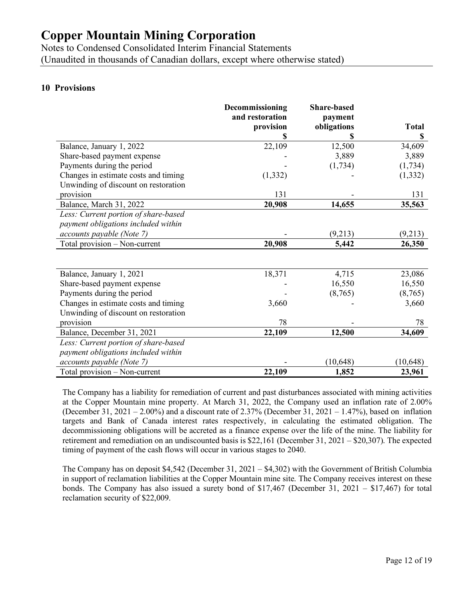Notes to Condensed Consolidated Interim Financial Statements (Unaudited in thousands of Canadian dollars, except where otherwise stated)

## **10 Provisions**

|                                      | Decommissioning              | <b>Share-based</b>     |              |
|--------------------------------------|------------------------------|------------------------|--------------|
|                                      | and restoration<br>provision | payment<br>obligations | <b>Total</b> |
|                                      |                              |                        | \$           |
| Balance, January 1, 2022             | 22,109                       | 12,500                 | 34,609       |
| Share-based payment expense          |                              | 3,889                  | 3,889        |
| Payments during the period           |                              | (1,734)                | (1,734)      |
| Changes in estimate costs and timing | (1, 332)                     |                        | (1, 332)     |
| Unwinding of discount on restoration |                              |                        |              |
| provision                            | 131                          |                        | 131          |
| Balance, March 31, 2022              | 20,908                       | 14,655                 | 35,563       |
| Less: Current portion of share-based |                              |                        |              |
| payment obligations included within  |                              |                        |              |
| accounts payable (Note 7)            |                              | (9,213)                | (9,213)      |
| Total provision - Non-current        | 20,908                       | 5,442                  | 26,350       |
|                                      |                              |                        |              |
|                                      |                              |                        |              |
| Balance, January 1, 2021             | 18,371                       | 4,715                  | 23,086       |
| Share-based payment expense          |                              | 16,550                 | 16,550       |
| Payments during the period           |                              | (8,765)                | (8,765)      |
| Changes in estimate costs and timing | 3,660                        |                        | 3,660        |
| Unwinding of discount on restoration |                              |                        |              |
| provision                            | 78                           |                        | 78           |
| Balance, December 31, 2021           | 22,109                       | 12,500                 | 34,609       |
| Less: Current portion of share-based |                              |                        |              |
| payment obligations included within  |                              |                        |              |
| accounts payable (Note 7)            |                              | (10, 648)              | (10, 648)    |
| Total provision - Non-current        | 22,109                       | 1,852                  | 23,961       |

The Company has a liability for remediation of current and past disturbances associated with mining activities at the Copper Mountain mine property. At March 31, 2022, the Company used an inflation rate of 2.00% (December 31, 2021 – 2.00%) and a discount rate of 2.37% (December 31, 2021 – 1.47%), based on inflation targets and Bank of Canada interest rates respectively, in calculating the estimated obligation. The decommissioning obligations will be accreted as a finance expense over the life of the mine. The liability for retirement and remediation on an undiscounted basis is \$22,161 (December 31, 2021 – \$20,307). The expected timing of payment of the cash flows will occur in various stages to 2040.

The Company has on deposit \$4,542 (December 31, 2021 – \$4,302) with the Government of British Columbia in support of reclamation liabilities at the Copper Mountain mine site. The Company receives interest on these bonds. The Company has also issued a surety bond of \$17,467 (December 31, 2021 – \$17,467) for total reclamation security of \$22,009.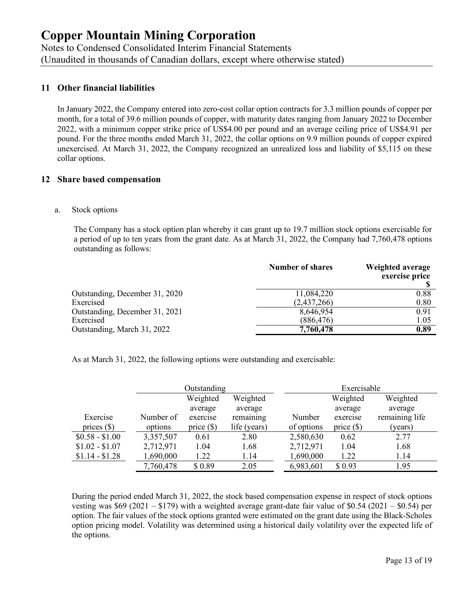Notes to Condensed Consolidated Interim Financial Statements (Unaudited in thousands of Canadian dollars, except where otherwise stated)

## **11 Other financial liabilities**

In January 2022, the Company entered into zero-cost collar option contracts for 3.3 million pounds of copper per month, for a total of 39.6 million pounds of copper, with maturity dates ranging from January 2022 to December 2022, with a minimum copper strike price of US\$4.00 per pound and an average ceiling price of US\$4.91 per pound. For the three months ended March 31, 2022, the collar options on 9.9 million pounds of copper expired unexercised. At March 31, 2022, the Company recognized an unrealized loss and liability of \$5,115 on these collar options.

#### **12 Share based compensation**

#### a. Stock options

The Company has a stock option plan whereby it can grant up to 19.7 million stock options exercisable for a period of up to ten years from the grant date. As at March 31, 2022, the Company had 7,760,478 options outstanding as follows:

|                                | <b>Number of shares</b> | Weighted average<br>exercise price |
|--------------------------------|-------------------------|------------------------------------|
| Outstanding, December 31, 2020 | 11,084,220              | 0.88                               |
| Exercised                      | (2,437,266)             | 0.80                               |
| Outstanding, December 31, 2021 | 8,646,954               | 0.91                               |
| Exercised                      | (886, 476)              | 1.05                               |
| Outstanding, March 31, 2022    | 7,760,478               | 0.89                               |

As at March 31, 2022, the following options were outstanding and exercisable:

|                 |           | Outstanding  |              |            | Exercisable  |                |
|-----------------|-----------|--------------|--------------|------------|--------------|----------------|
|                 |           | Weighted     | Weighted     |            | Weighted     | Weighted       |
|                 |           | average      | average      |            | average      | average        |
| Exercise        | Number of | exercise     | remaining    | Number     | exercise     | remaining life |
| prices $(\$)$   | options   | price $(\$)$ | life (years) | of options | price $(\$)$ | (years)        |
| $$0.58 - $1.00$ | 3,357,507 | 0.61         | 2.80         | 2,580,630  | 0.62         | 2.77           |
| $$1.02 - $1.07$ | 2,712,971 | 1.04         | 1.68         | 2,712,971  | 1.04         | 1.68           |
| $$1.14 - $1.28$ | 1,690,000 | 1.22         | 1.14         | 1,690,000  | 1.22         | 1.14           |
|                 | 7,760,478 | \$0.89       | 2.05         | 6,983,601  | \$0.93       | 1.95           |

During the period ended March 31, 2022, the stock based compensation expense in respect of stock options vesting was \$69 (2021 – \$179) with a weighted average grant-date fair value of \$0.54 (2021 – \$0.54) per option. The fair values of the stock options granted were estimated on the grant date using the Black-Scholes option pricing model. Volatility was determined using a historical daily volatility over the expected life of the options.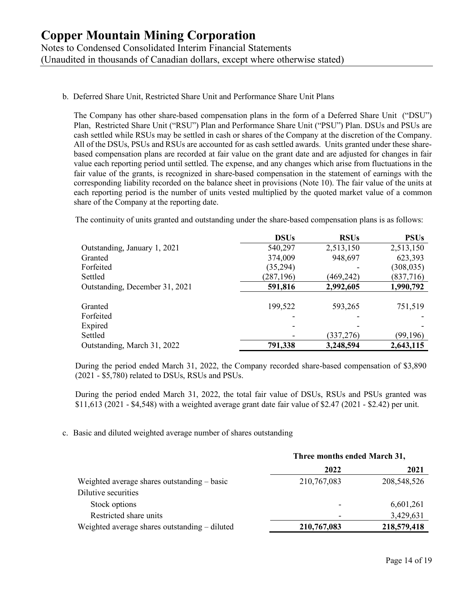## b. Deferred Share Unit, Restricted Share Unit and Performance Share Unit Plans

The Company has other share-based compensation plans in the form of a Deferred Share Unit ("DSU") Plan, Restricted Share Unit ("RSU") Plan and Performance Share Unit ("PSU") Plan. DSUs and PSUs are cash settled while RSUs may be settled in cash or shares of the Company at the discretion of the Company. All of the DSUs, PSUs and RSUs are accounted for as cash settled awards. Units granted under these sharebased compensation plans are recorded at fair value on the grant date and are adjusted for changes in fair value each reporting period until settled. The expense, and any changes which arise from fluctuations in the fair value of the grants, is recognized in share-based compensation in the statement of earnings with the corresponding liability recorded on the balance sheet in provisions (Note 10). The fair value of the units at each reporting period is the number of units vested multiplied by the quoted market value of a common share of the Company at the reporting date.

The continuity of units granted and outstanding under the share-based compensation plans is as follows:

|                                | <b>DSUs</b> | <b>RSUs</b> | <b>PSUs</b> |
|--------------------------------|-------------|-------------|-------------|
| Outstanding, January 1, 2021   | 540,297     | 2,513,150   | 2,513,150   |
| Granted                        | 374,009     | 948,697     | 623,393     |
| Forfeited                      | (35,294)    |             | (308, 035)  |
| Settled                        | (287, 196)  | (469, 242)  | (837,716)   |
| Outstanding, December 31, 2021 | 591,816     | 2,992,605   | 1,990,792   |
|                                |             |             |             |
| Granted                        | 199,522     | 593,265     | 751,519     |
| Forfeited                      |             |             |             |
| Expired                        |             |             |             |
| Settled                        |             | (337, 276)  | (99, 196)   |
| Outstanding, March 31, 2022    | 791,338     | 3,248,594   | 2,643,115   |

During the period ended March 31, 2022, the Company recorded share-based compensation of \$3,890 (2021 - \$5,780) related to DSUs, RSUs and PSUs.

During the period ended March 31, 2022, the total fair value of DSUs, RSUs and PSUs granted was \$11,613 (2021 - \$4,548) with a weighted average grant date fair value of \$2.47 (2021 - \$2.42) per unit.

## c. Basic and diluted weighted average number of shares outstanding

|                                               | Three months ended March 31, |             |
|-----------------------------------------------|------------------------------|-------------|
|                                               | 2022                         | 2021        |
| Weighted average shares outstanding – basic   | 210,767,083                  | 208,548,526 |
| Dilutive securities                           |                              |             |
| Stock options                                 |                              | 6,601,261   |
| Restricted share units                        |                              | 3,429,631   |
| Weighted average shares outstanding – diluted | 210,767,083                  | 218,579,418 |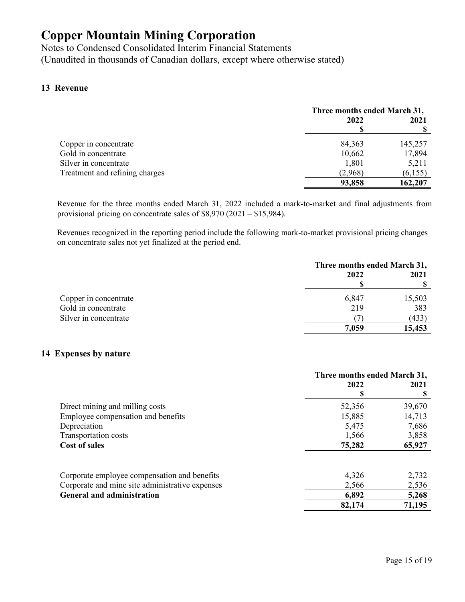Notes to Condensed Consolidated Interim Financial Statements (Unaudited in thousands of Canadian dollars, except where otherwise stated)

## **13 Revenue**

|                                | Three months ended March 31, |         |
|--------------------------------|------------------------------|---------|
|                                | 2022                         | 2021    |
|                                |                              |         |
| Copper in concentrate          | 84,363                       | 145,257 |
| Gold in concentrate            | 10,662                       | 17,894  |
| Silver in concentrate          | 1,801                        | 5,211   |
| Treatment and refining charges | (2,968)                      | (6,155) |
|                                | 93,858                       | 162,207 |

Revenue for the three months ended March 31, 2022 included a mark-to-market and final adjustments from provisional pricing on concentrate sales of \$8,970 (2021 – \$15,984).

Revenues recognized in the reporting period include the following mark-to-market provisional pricing changes on concentrate sales not yet finalized at the period end.

|                       | Three months ended March 31, |        |
|-----------------------|------------------------------|--------|
|                       | 2022                         | 2021   |
|                       |                              |        |
| Copper in concentrate | 6,847                        | 15,503 |
| Gold in concentrate   | 219                          | 383    |
| Silver in concentrate |                              | (433)  |
|                       | 7,059                        | 15,453 |

## **14 Expenses by nature**

|                                                 | Three months ended March 31, |        |
|-------------------------------------------------|------------------------------|--------|
|                                                 | 2022                         | 2021   |
|                                                 |                              | S      |
| Direct mining and milling costs                 | 52,356                       | 39,670 |
| Employee compensation and benefits              | 15,885                       | 14,713 |
| Depreciation                                    | 5,475                        | 7,686  |
| Transportation costs                            | 1,566                        | 3,858  |
| <b>Cost of sales</b>                            | 75,282                       | 65,927 |
|                                                 |                              |        |
| Corporate employee compensation and benefits    | 4,326                        | 2,732  |
| Corporate and mine site administrative expenses | 2,566                        | 2,536  |
| <b>General and administration</b>               | 6,892                        | 5,268  |
|                                                 | 82,174                       | 71,195 |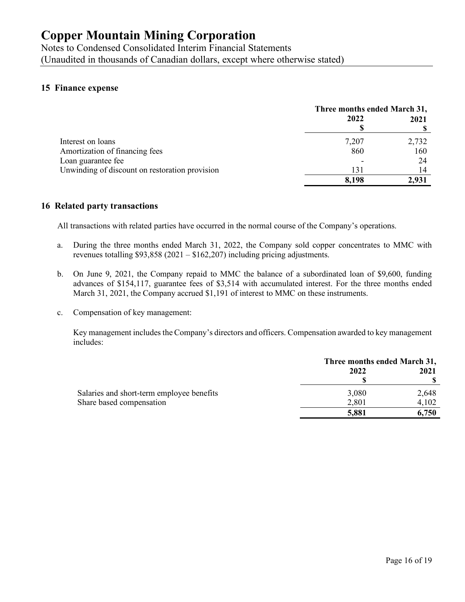Notes to Condensed Consolidated Interim Financial Statements (Unaudited in thousands of Canadian dollars, except where otherwise stated)

#### **15 Finance expense**

|                                                | Three months ended March 31, |       |
|------------------------------------------------|------------------------------|-------|
|                                                | 2022                         | 2021  |
| Interest on loans                              | 7,207                        | 2,732 |
| Amortization of financing fees                 | 860                          | 160   |
| Loan guarantee fee                             |                              | 24    |
| Unwinding of discount on restoration provision | 131                          | 14    |
|                                                | 8,198                        | 2.931 |

#### **16 Related party transactions**

All transactions with related parties have occurred in the normal course of the Company's operations.

- a. During the three months ended March 31, 2022, the Company sold copper concentrates to MMC with revenues totalling \$93,858 (2021 – \$162,207) including pricing adjustments.
- b. On June 9, 2021, the Company repaid to MMC the balance of a subordinated loan of \$9,600, funding advances of \$154,117, guarantee fees of \$3,514 with accumulated interest. For the three months ended March 31, 2021, the Company accrued \$1,191 of interest to MMC on these instruments.
- c. Compensation of key management:

Key management includes the Company's directors and officers. Compensation awarded to key management includes:

|                                           | Three months ended March 31, |       |
|-------------------------------------------|------------------------------|-------|
|                                           | 2022                         | 2021  |
|                                           |                              |       |
| Salaries and short-term employee benefits | 3,080                        | 2,648 |
| Share based compensation                  | 2,801                        | 4,102 |
|                                           | 5,881                        | 6,750 |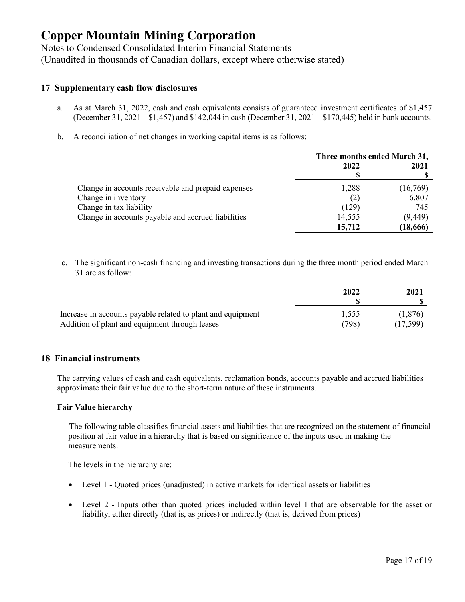Notes to Condensed Consolidated Interim Financial Statements (Unaudited in thousands of Canadian dollars, except where otherwise stated)

#### **17 Supplementary cash flow disclosures**

- a. As at March 31, 2022, cash and cash equivalents consists of guaranteed investment certificates of \$1,457 (December 31, 2021 – \$1,457) and \$142,044 in cash (December 31, 2021 – \$170,445) held in bank accounts.
- b. A reconciliation of net changes in working capital items is as follows:

|                                                    | Three months ended March 31, |           |
|----------------------------------------------------|------------------------------|-----------|
|                                                    | 2022                         | 2021      |
|                                                    |                              |           |
| Change in accounts receivable and prepaid expenses | 1,288                        | (16,769)  |
| Change in inventory                                | (2)                          | 6,807     |
| Change in tax liability                            | (129)                        | 745       |
| Change in accounts payable and accrued liabilities | 14,555                       | (9,449)   |
|                                                    | 15,712                       | (18, 666) |

c. The significant non-cash financing and investing transactions during the three month period ended March 31 are as follow:

|                                                             | 2022  | 2021     |
|-------------------------------------------------------------|-------|----------|
| Increase in accounts payable related to plant and equipment | 1.555 | (1.876)  |
| Addition of plant and equipment through leases              | (798) | (17.599) |

#### **18 Financial instruments**

The carrying values of cash and cash equivalents, reclamation bonds, accounts payable and accrued liabilities approximate their fair value due to the short-term nature of these instruments.

#### **Fair Value hierarchy**

The following table classifies financial assets and liabilities that are recognized on the statement of financial position at fair value in a hierarchy that is based on significance of the inputs used in making the measurements.

The levels in the hierarchy are:

- Level 1 Quoted prices (unadjusted) in active markets for identical assets or liabilities
- Level 2 Inputs other than quoted prices included within level 1 that are observable for the asset or liability, either directly (that is, as prices) or indirectly (that is, derived from prices)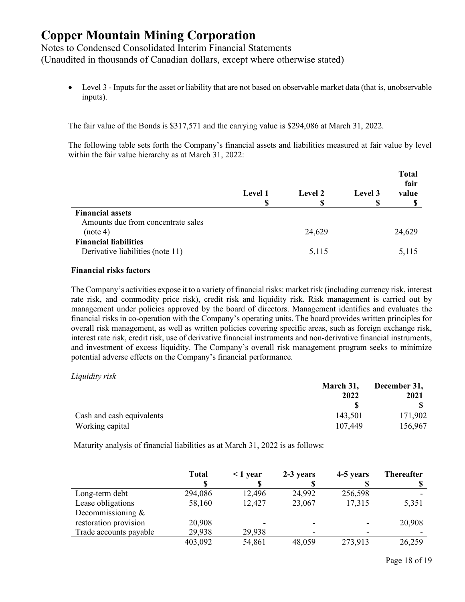Notes to Condensed Consolidated Interim Financial Statements

(Unaudited in thousands of Canadian dollars, except where otherwise stated)

• Level 3 - Inputs for the asset or liability that are not based on observable market data (that is, unobservable inputs).

The fair value of the Bonds is \$317,571 and the carrying value is \$294,086 at March 31, 2022.

The following table sets forth the Company's financial assets and liabilities measured at fair value by level within the fair value hierarchy as at March 31, 2022:

|                                                                  | Level 1 | Level 2 | Level 3<br>S | <b>Total</b><br>fair<br>value<br>œ |
|------------------------------------------------------------------|---------|---------|--------------|------------------------------------|
| <b>Financial assets</b><br>Amounts due from concentrate sales    |         |         |              |                                    |
| (note 4)                                                         |         | 24,629  |              | 24,629                             |
| <b>Financial liabilities</b><br>Derivative liabilities (note 11) |         | 5,115   |              | 5,115                              |

#### **Financial risks factors**

The Company's activities expose it to a variety of financial risks: market risk (including currency risk, interest rate risk, and commodity price risk), credit risk and liquidity risk. Risk management is carried out by management under policies approved by the board of directors. Management identifies and evaluates the financial risks in co-operation with the Company's operating units. The board provides written principles for overall risk management, as well as written policies covering specific areas, such as foreign exchange risk, interest rate risk, credit risk, use of derivative financial instruments and non-derivative financial instruments, and investment of excess liquidity. The Company's overall risk management program seeks to minimize potential adverse effects on the Company's financial performance.

*Liquidity risk* 

|                           | March 31, | December 31, |  |  |
|---------------------------|-----------|--------------|--|--|
|                           | 2022      | 2021         |  |  |
|                           |           |              |  |  |
| Cash and cash equivalents | 143,501   | 171,902      |  |  |
| Working capital           | 107,449   | 156,967      |  |  |

Maturity analysis of financial liabilities as at March 31, 2022 is as follows:

|                        | <b>Total</b> | $\leq$ 1 year | 2-3 years | 4-5 years | <b>Thereafter</b> |
|------------------------|--------------|---------------|-----------|-----------|-------------------|
| Long-term debt         | 294,086      | 12,496        | 24,992    | 256,598   |                   |
| Lease obligations      | 58,160       | 12,427        | 23,067    | 17,315    | 5,351             |
| Decommissioning $\&$   |              |               |           |           |                   |
| restoration provision  | 20,908       |               |           |           | 20,908            |
| Trade accounts payable | 29,938       | 29,938        | ۰         |           |                   |
|                        | 403,092      | 54,861        | 48,059    | 273,913   | 26,259            |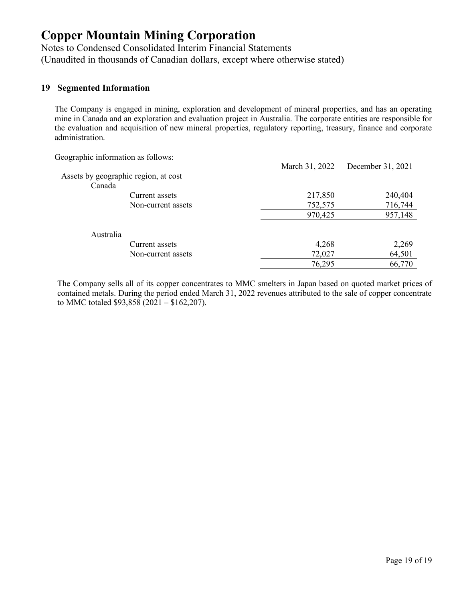Notes to Condensed Consolidated Interim Financial Statements (Unaudited in thousands of Canadian dollars, except where otherwise stated)

## **19 Segmented Information**

The Company is engaged in mining, exploration and development of mineral properties, and has an operating mine in Canada and an exploration and evaluation project in Australia. The corporate entities are responsible for the evaluation and acquisition of new mineral properties, regulatory reporting, treasury, finance and corporate administration.

Geographic information as follows:

|                                      |                    | March 31, 2022 | December 31, 2021 |
|--------------------------------------|--------------------|----------------|-------------------|
| Assets by geographic region, at cost |                    |                |                   |
| Canada                               |                    |                |                   |
|                                      | Current assets     | 217,850        | 240,404           |
|                                      | Non-current assets | 752,575        | 716,744           |
|                                      |                    | 970,425        | 957,148           |
| Australia                            |                    |                |                   |
|                                      | Current assets     | 4,268          | 2,269             |
|                                      | Non-current assets | 72,027         | 64,501            |
|                                      |                    | 76,295         | 66,770            |

The Company sells all of its copper concentrates to MMC smelters in Japan based on quoted market prices of contained metals. During the period ended March 31, 2022 revenues attributed to the sale of copper concentrate to MMC totaled \$93,858 (2021 – \$162,207).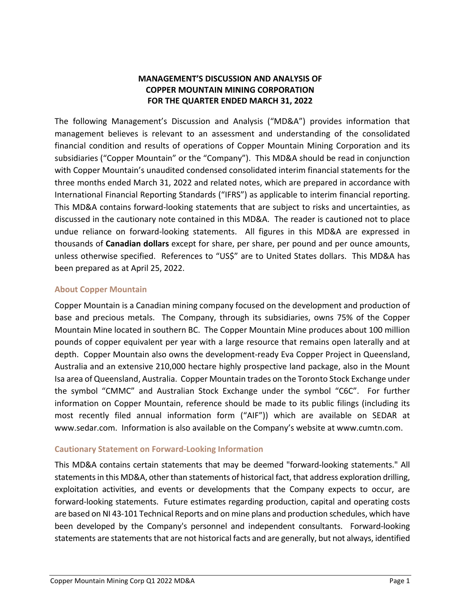## **MANAGEMENT'S DISCUSSION AND ANALYSIS OF COPPER MOUNTAIN MINING CORPORATION FOR THE QUARTER ENDED MARCH 31, 2022**

The following Management's Discussion and Analysis ("MD&A") provides information that management believes is relevant to an assessment and understanding of the consolidated financial condition and results of operations of Copper Mountain Mining Corporation and its subsidiaries ("Copper Mountain" or the "Company"). This MD&A should be read in conjunction with Copper Mountain's unaudited condensed consolidated interim financial statements for the three months ended March 31, 2022 and related notes, which are prepared in accordance with International Financial Reporting Standards ("IFRS") as applicable to interim financial reporting. This MD&A contains forward‐looking statements that are subject to risks and uncertainties, as discussed in the cautionary note contained in this MD&A. The reader is cautioned not to place undue reliance on forward-looking statements. All figures in this MD&A are expressed in thousands of **Canadian dollars** except for share, per share, per pound and per ounce amounts, unless otherwise specified. References to "US\$" are to United States dollars. This MD&A has been prepared as at April 25, 2022.

## **About Copper Mountain**

Copper Mountain is a Canadian mining company focused on the development and production of base and precious metals. The Company, through its subsidiaries, owns 75% of the Copper Mountain Mine located in southern BC. The Copper Mountain Mine produces about 100 million pounds of copper equivalent per year with a large resource that remains open laterally and at depth. Copper Mountain also owns the development-ready Eva Copper Project in Queensland, Australia and an extensive 210,000 hectare highly prospective land package, also in the Mount Isa area of Queensland, Australia. Copper Mountain trades on the Toronto Stock Exchange under the symbol "CMMC" and Australian Stock Exchange under the symbol "C6C". For further information on Copper Mountain, reference should be made to its public filings (including its most recently filed annual information form ("AIF")) which are available on SEDAR at www.sedar.com. Information is also available on the Company's website at www.cumtn.com.

## **Cautionary Statement on Forward‐Looking Information**

This MD&A contains certain statements that may be deemed "forward‐looking statements." All statements in this MD&A, other than statements of historical fact, that address exploration drilling, exploitation activities, and events or developments that the Company expects to occur, are forward‐looking statements. Future estimates regarding production, capital and operating costs are based on NI 43‐101 Technical Reports and on mine plans and production schedules, which have been developed by the Company's personnel and independent consultants. Forward-looking statements are statements that are not historical facts and are generally, but not always, identified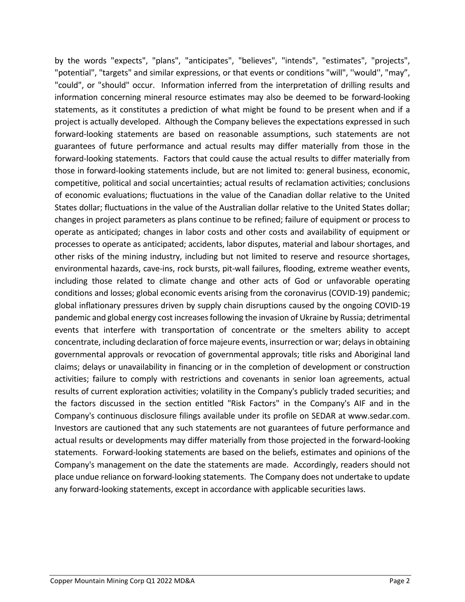by the words "expects", "plans", "anticipates", "believes", "intends", "estimates", "projects", "potential", "targets" and similar expressions, or that events or conditions "will", ''would'', "may", "could", or "should" occur. Information inferred from the interpretation of drilling results and information concerning mineral resource estimates may also be deemed to be forward‐looking statements, as it constitutes a prediction of what might be found to be present when and if a project is actually developed. Although the Company believes the expectations expressed in such forward‐looking statements are based on reasonable assumptions, such statements are not guarantees of future performance and actual results may differ materially from those in the forward‐looking statements. Factors that could cause the actual results to differ materially from those in forward‐looking statements include, but are not limited to: general business, economic, competitive, political and social uncertainties; actual results of reclamation activities; conclusions of economic evaluations; fluctuations in the value of the Canadian dollar relative to the United States dollar; fluctuations in the value of the Australian dollar relative to the United States dollar; changes in project parameters as plans continue to be refined; failure of equipment or process to operate as anticipated; changes in labor costs and other costs and availability of equipment or processes to operate as anticipated; accidents, labor disputes, material and labour shortages, and other risks of the mining industry, including but not limited to reserve and resource shortages, environmental hazards, cave-ins, rock bursts, pit-wall failures, flooding, extreme weather events, including those related to climate change and other acts of God or unfavorable operating conditions and losses; global economic events arising from the coronavirus (COVID‐19) pandemic; global inflationary pressures driven by supply chain disruptions caused by the ongoing COVID‐19 pandemic and global energy cost increasesfollowing the invasion of Ukraine by Russia; detrimental events that interfere with transportation of concentrate or the smelters ability to accept concentrate, including declaration of force majeure events, insurrection or war; delays in obtaining governmental approvals or revocation of governmental approvals; title risks and Aboriginal land claims; delays or unavailability in financing or in the completion of development or construction activities; failure to comply with restrictions and covenants in senior loan agreements, actual results of current exploration activities; volatility in the Company's publicly traded securities; and the factors discussed in the section entitled "Risk Factors" in the Company's AIF and in the Company's continuous disclosure filings available under its profile on SEDAR at www.sedar.com. Investors are cautioned that any such statements are not guarantees of future performance and actual results or developments may differ materially from those projected in the forward‐looking statements. Forward‐looking statements are based on the beliefs, estimates and opinions of the Company's management on the date the statements are made. Accordingly, readers should not place undue reliance on forward‐looking statements. The Company does not undertake to update any forward‐looking statements, except in accordance with applicable securities laws.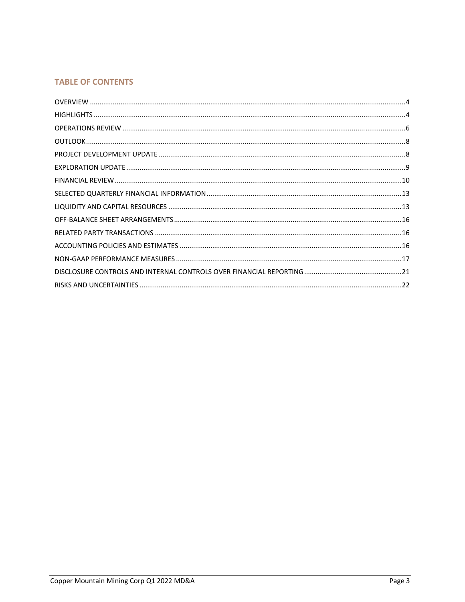## **TABLE OF CONTENTS**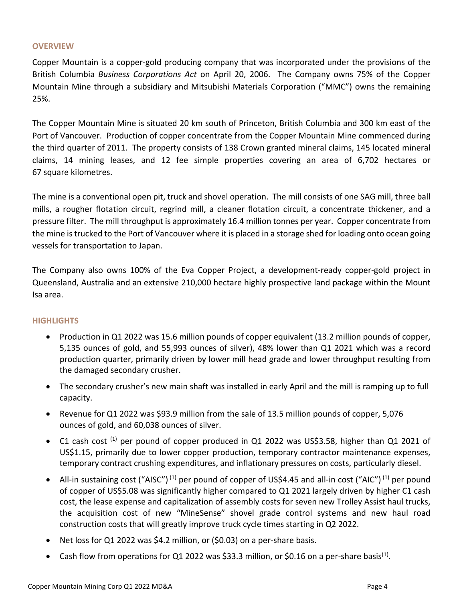## **OVERVIEW**

Copper Mountain is a copper‐gold producing company that was incorporated under the provisions of the British Columbia *Business Corporations Act* on April 20, 2006. The Company owns 75% of the Copper Mountain Mine through a subsidiary and Mitsubishi Materials Corporation ("MMC") owns the remaining 25%.

The Copper Mountain Mine is situated 20 km south of Princeton, British Columbia and 300 km east of the Port of Vancouver. Production of copper concentrate from the Copper Mountain Mine commenced during the third quarter of 2011. The property consists of 138 Crown granted mineral claims, 145 located mineral claims, 14 mining leases, and 12 fee simple properties covering an area of 6,702 hectares or 67 square kilometres.

The mine is a conventional open pit, truck and shovel operation. The mill consists of one SAG mill, three ball mills, a rougher flotation circuit, regrind mill, a cleaner flotation circuit, a concentrate thickener, and a pressure filter. The mill throughput is approximately 16.4 million tonnes per year. Copper concentrate from the mine istrucked to the Port of Vancouver where it is placed in a storage shed for loading onto ocean going vessels for transportation to Japan.

The Company also owns 100% of the Eva Copper Project, a development-ready copper-gold project in Queensland, Australia and an extensive 210,000 hectare highly prospective land package within the Mount Isa area.

## **HIGHLIGHTS**

- Production in Q1 2022 was 15.6 million pounds of copper equivalent (13.2 million pounds of copper, 5,135 ounces of gold, and 55,993 ounces of silver), 48% lower than Q1 2021 which was a record production quarter, primarily driven by lower mill head grade and lower throughput resulting from the damaged secondary crusher.
- The secondary crusher's new main shaft was installed in early April and the mill is ramping up to full capacity.
- Revenue for Q1 2022 was \$93.9 million from the sale of 13.5 million pounds of copper, 5,076 ounces of gold, and 60,038 ounces of silver.
- C1 cash cost  $^{(1)}$  per pound of copper produced in Q1 2022 was US\$3.58, higher than Q1 2021 of US\$1.15, primarily due to lower copper production, temporary contractor maintenance expenses, temporary contract crushing expenditures, and inflationary pressures on costs, particularly diesel.
- All-in sustaining cost ("AISC")<sup>(1)</sup> per pound of copper of US\$4.45 and all-in cost ("AIC")<sup>(1)</sup> per pound of copper of US\$5.08 was significantly higher compared to Q1 2021 largely driven by higher C1 cash cost, the lease expense and capitalization of assembly costs for seven new Trolley Assist haul trucks, the acquisition cost of new "MineSense" shovel grade control systems and new haul road construction costs that will greatly improve truck cycle times starting in Q2 2022.
- Net loss for Q1 2022 was \$4.2 million, or (\$0.03) on a per-share basis.
- Cash flow from operations for Q1 2022 was \$33.3 million, or \$0.16 on a per-share basis<sup>(1)</sup>.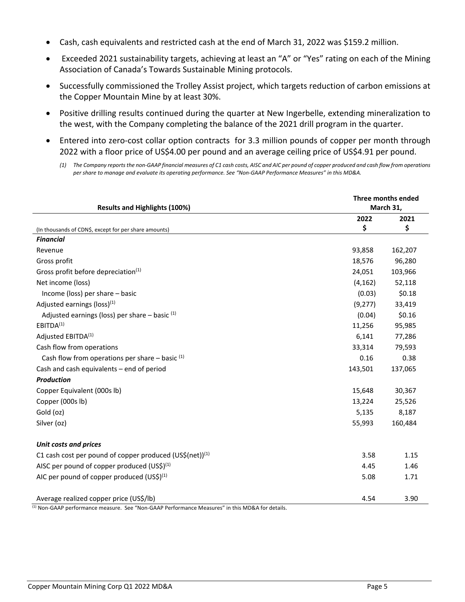- Cash, cash equivalents and restricted cash at the end of March 31, 2022 was \$159.2 million.
- Exceeded 2021 sustainability targets, achieving at least an "A" or "Yes" rating on each of the Mining Association of Canada's Towards Sustainable Mining protocols.
- Successfully commissioned the Trolley Assist project, which targets reduction of carbon emissions at the Copper Mountain Mine by at least 30%.
- Positive drilling results continued during the quarter at New Ingerbelle, extending mineralization to the west, with the Company completing the balance of the 2021 drill program in the quarter.
- Entered into zero-cost collar option contracts for 3.3 million pounds of copper per month through 2022 with a floor price of US\$4.00 per pound and an average ceiling price of US\$4.91 per pound.

<sup>(1)</sup> The Company reports the non-GAAP financial measures of C1 cash costs, AISC and AIC per pound of copper produced and cash flow from operations per share to manage and evaluate its operating performance. See "Non-GAAP Performance Measures" in this MD&A.

| <b>Results and Highlights (100%)</b>                                                                                                                 | Three months ended<br>March 31, |         |  |  |
|------------------------------------------------------------------------------------------------------------------------------------------------------|---------------------------------|---------|--|--|
|                                                                                                                                                      | 2022                            | 2021    |  |  |
| (In thousands of CDN\$, except for per share amounts)                                                                                                | \$                              | \$      |  |  |
| <b>Financial</b>                                                                                                                                     |                                 |         |  |  |
| Revenue                                                                                                                                              | 93,858                          | 162,207 |  |  |
| Gross profit                                                                                                                                         | 18,576                          | 96,280  |  |  |
| Gross profit before depreciation <sup>(1)</sup>                                                                                                      | 24,051                          | 103,966 |  |  |
| Net income (loss)                                                                                                                                    | (4, 162)                        | 52,118  |  |  |
| Income (loss) per share – basic                                                                                                                      | (0.03)                          | \$0.18  |  |  |
| Adjusted earnings (loss) <sup>(1)</sup>                                                                                                              | (9, 277)                        | 33,419  |  |  |
| Adjusted earnings (loss) per share $-$ basic $(1)$                                                                                                   | (0.04)                          | \$0.16  |  |  |
| EBITDA <sup>(1)</sup>                                                                                                                                | 11,256                          | 95,985  |  |  |
| Adjusted EBITDA <sup>(1)</sup>                                                                                                                       | 6,141                           | 77,286  |  |  |
| Cash flow from operations                                                                                                                            | 33,314                          | 79,593  |  |  |
| Cash flow from operations per share $-$ basic $(1)$                                                                                                  | 0.16                            | 0.38    |  |  |
| Cash and cash equivalents - end of period                                                                                                            | 143,501                         | 137,065 |  |  |
| <b>Production</b>                                                                                                                                    |                                 |         |  |  |
| Copper Equivalent (000s lb)                                                                                                                          | 15,648                          | 30,367  |  |  |
| Copper (000s lb)                                                                                                                                     | 13,224                          | 25,526  |  |  |
| Gold (oz)                                                                                                                                            | 5,135                           | 8,187   |  |  |
| Silver (oz)                                                                                                                                          | 55,993                          | 160,484 |  |  |
| <b>Unit costs and prices</b>                                                                                                                         |                                 |         |  |  |
| C1 cash cost per pound of copper produced (US\$(net)) <sup>(1)</sup>                                                                                 | 3.58                            | 1.15    |  |  |
| AISC per pound of copper produced $(US5)(1)$                                                                                                         | 4.45                            | 1.46    |  |  |
| AIC per pound of copper produced $(US5)(1)$                                                                                                          | 5.08                            | 1.71    |  |  |
| Average realized copper price (US\$/lb)<br>$^{[1]}$ Non-GAAP performance measure $\chi$ See "Non-GAAP Performance Measures" in this MD8A for details | 4.54                            | 3.90    |  |  |

Non-GAAP performance measure. See "Non-GAAP Performance Measures" in this MD&A for details.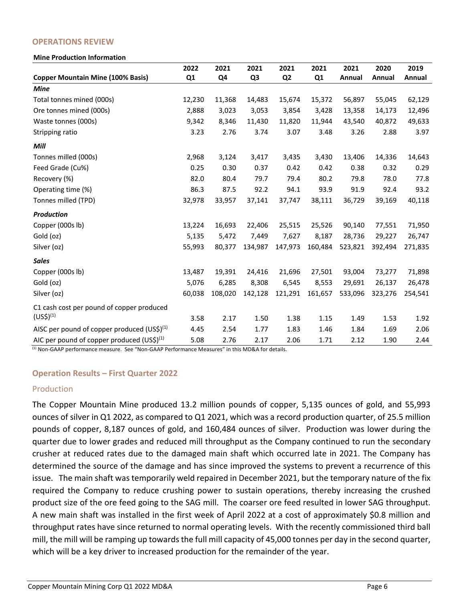#### **OPERATIONS REVIEW**

#### **Mine Production Information**

|                                                       | 2022   | 2021    | 2021    | 2021           | 2021    | 2021    | 2020    | 2019    |
|-------------------------------------------------------|--------|---------|---------|----------------|---------|---------|---------|---------|
| <b>Copper Mountain Mine (100% Basis)</b>              | Q1     | Q4      | Q3      | Q <sub>2</sub> | Q1      | Annual  | Annual  | Annual  |
| <b>Mine</b>                                           |        |         |         |                |         |         |         |         |
| Total tonnes mined (000s)                             | 12,230 | 11,368  | 14,483  | 15,674         | 15,372  | 56,897  | 55,045  | 62,129  |
| Ore tonnes mined (000s)                               | 2,888  | 3,023   | 3,053   | 3,854          | 3,428   | 13,358  | 14,173  | 12,496  |
| Waste tonnes (000s)                                   | 9,342  | 8,346   | 11,430  | 11,820         | 11,944  | 43,540  | 40,872  | 49,633  |
| Stripping ratio                                       | 3.23   | 2.76    | 3.74    | 3.07           | 3.48    | 3.26    | 2.88    | 3.97    |
| Mill                                                  |        |         |         |                |         |         |         |         |
| Tonnes milled (000s)                                  | 2,968  | 3,124   | 3,417   | 3,435          | 3,430   | 13,406  | 14,336  | 14,643  |
| Feed Grade (Cu%)                                      | 0.25   | 0.30    | 0.37    | 0.42           | 0.42    | 0.38    | 0.32    | 0.29    |
| Recovery (%)                                          | 82.0   | 80.4    | 79.7    | 79.4           | 80.2    | 79.8    | 78.0    | 77.8    |
| Operating time (%)                                    | 86.3   | 87.5    | 92.2    | 94.1           | 93.9    | 91.9    | 92.4    | 93.2    |
| Tonnes milled (TPD)                                   | 32,978 | 33,957  | 37,141  | 37,747         | 38,111  | 36,729  | 39,169  | 40,118  |
| <b>Production</b>                                     |        |         |         |                |         |         |         |         |
| Copper (000s lb)                                      | 13,224 | 16,693  | 22,406  | 25,515         | 25,526  | 90,140  | 77,551  | 71,950  |
| Gold (oz)                                             | 5,135  | 5,472   | 7,449   | 7,627          | 8,187   | 28,736  | 29,227  | 26,747  |
| Silver (oz)                                           | 55,993 | 80,377  | 134,987 | 147,973        | 160,484 | 523,821 | 392,494 | 271,835 |
| <b>Sales</b>                                          |        |         |         |                |         |         |         |         |
| Copper (000s lb)                                      | 13,487 | 19,391  | 24,416  | 21,696         | 27,501  | 93,004  | 73,277  | 71,898  |
| Gold (oz)                                             | 5,076  | 6,285   | 8,308   | 6,545          | 8,553   | 29,691  | 26,137  | 26,478  |
| Silver (oz)                                           | 60,038 | 108,020 | 142,128 | 121,291        | 161,657 | 533,096 | 323,276 | 254,541 |
| C1 cash cost per pound of copper produced             |        |         |         |                |         |         |         |         |
| $(US$)^{(1)}$                                         | 3.58   | 2.17    | 1.50    | 1.38           | 1.15    | 1.49    | 1.53    | 1.92    |
| AISC per pound of copper produced $(US\hat{S})^{(1)}$ | 4.45   | 2.54    | 1.77    | 1.83           | 1.46    | 1.84    | 1.69    | 2.06    |
| AIC per pound of copper produced $(US\hat{S})^{(1)}$  | 5.08   | 2.76    | 2.17    | 2.06           | 1.71    | 2.12    | 1.90    | 2.44    |

<sup>(1)</sup> Non-GAAP performance measure. See "Non-GAAP Performance Measures" in this MD&A for details.

#### **Operation Results – First Quarter 2022**

## Production

The Copper Mountain Mine produced 13.2 million pounds of copper, 5,135 ounces of gold, and 55,993 ounces of silver in Q1 2022, as compared to Q1 2021, which was a record production quarter, of 25.5 million pounds of copper, 8,187 ounces of gold, and 160,484 ounces of silver. Production was lower during the quarter due to lower grades and reduced mill throughput as the Company continued to run the secondary crusher at reduced rates due to the damaged main shaft which occurred late in 2021. The Company has determined the source of the damage and has since improved the systems to prevent a recurrence of this issue. The main shaft was temporarily weld repaired in December 2021, but the temporary nature of the fix required the Company to reduce crushing power to sustain operations, thereby increasing the crushed product size of the ore feed going to the SAG mill. The coarser ore feed resulted in lower SAG throughput. A new main shaft was installed in the first week of April 2022 at a cost of approximately \$0.8 million and throughput rates have since returned to normal operating levels. With the recently commissioned third ball mill, the mill will be ramping up towards the full mill capacity of 45,000 tonnes per day in the second quarter, which will be a key driver to increased production for the remainder of the year.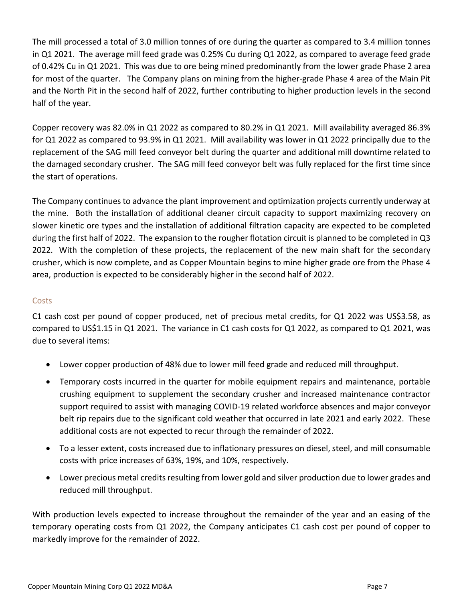The mill processed a total of 3.0 million tonnes of ore during the quarter as compared to 3.4 million tonnes in Q1 2021. The average mill feed grade was 0.25% Cu during Q1 2022, as compared to average feed grade of 0.42% Cu in Q1 2021. This was due to ore being mined predominantly from the lower grade Phase 2 area for most of the quarter. The Company plans on mining from the higher-grade Phase 4 area of the Main Pit and the North Pit in the second half of 2022, further contributing to higher production levels in the second half of the year.

Copper recovery was 82.0% in Q1 2022 as compared to 80.2% in Q1 2021. Mill availability averaged 86.3% for Q1 2022 as compared to 93.9% in Q1 2021. Mill availability was lower in Q1 2022 principally due to the replacement of the SAG mill feed conveyor belt during the quarter and additional mill downtime related to the damaged secondary crusher. The SAG mill feed conveyor belt was fully replaced for the first time since the start of operations.

The Company continues to advance the plant improvement and optimization projects currently underway at the mine. Both the installation of additional cleaner circuit capacity to support maximizing recovery on slower kinetic ore types and the installation of additional filtration capacity are expected to be completed during the first half of 2022. The expansion to the rougher flotation circuit is planned to be completed in Q3 2022. With the completion of these projects, the replacement of the new main shaft for the secondary crusher, which is now complete, and as Copper Mountain begins to mine higher grade ore from the Phase 4 area, production is expected to be considerably higher in the second half of 2022.

## **Costs**

C1 cash cost per pound of copper produced, net of precious metal credits, for Q1 2022 was US\$3.58, as compared to US\$1.15 in Q1 2021. The variance in C1 cash costs for Q1 2022, as compared to Q1 2021, was due to several items:

- Lower copper production of 48% due to lower mill feed grade and reduced mill throughput.
- Temporary costs incurred in the quarter for mobile equipment repairs and maintenance, portable crushing equipment to supplement the secondary crusher and increased maintenance contractor support required to assist with managing COVID‐19 related workforce absences and major conveyor belt rip repairs due to the significant cold weather that occurred in late 2021 and early 2022. These additional costs are not expected to recur through the remainder of 2022.
- To a lesser extent, costs increased due to inflationary pressures on diesel, steel, and mill consumable costs with price increases of 63%, 19%, and 10%, respectively.
- Lower precious metal credits resulting from lower gold and silver production due to lower grades and reduced mill throughput.

With production levels expected to increase throughout the remainder of the year and an easing of the temporary operating costs from Q1 2022, the Company anticipates C1 cash cost per pound of copper to markedly improve for the remainder of 2022.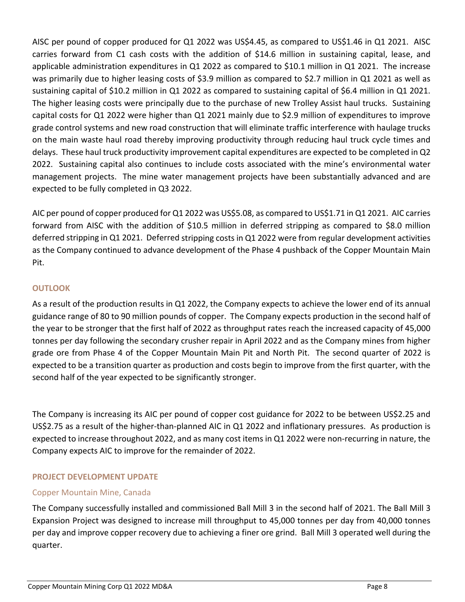AISC per pound of copper produced for Q1 2022 was US\$4.45, as compared to US\$1.46 in Q1 2021. AISC carries forward from C1 cash costs with the addition of \$14.6 million in sustaining capital, lease, and applicable administration expenditures in Q1 2022 as compared to \$10.1 million in Q1 2021. The increase was primarily due to higher leasing costs of \$3.9 million as compared to \$2.7 million in Q1 2021 as well as sustaining capital of \$10.2 million in Q1 2022 as compared to sustaining capital of \$6.4 million in Q1 2021. The higher leasing costs were principally due to the purchase of new Trolley Assist haul trucks. Sustaining capital costs for Q1 2022 were higher than Q1 2021 mainly due to \$2.9 million of expenditures to improve grade control systems and new road construction that will eliminate traffic interference with haulage trucks on the main waste haul road thereby improving productivity through reducing haul truck cycle times and delays. These haul truck productivity improvement capital expenditures are expected to be completed in Q2 2022. Sustaining capital also continues to include costs associated with the mine's environmental water management projects. The mine water management projects have been substantially advanced and are expected to be fully completed in Q3 2022.

AIC per pound of copper produced for Q1 2022 was US\$5.08, as compared to US\$1.71 in Q1 2021. AIC carries forward from AISC with the addition of \$10.5 million in deferred stripping as compared to \$8.0 million deferred stripping in Q1 2021. Deferred stripping costs in Q1 2022 were from regular development activities as the Company continued to advance development of the Phase 4 pushback of the Copper Mountain Main Pit.

## **OUTLOOK**

As a result of the production results in Q1 2022, the Company expects to achieve the lower end of its annual guidance range of 80 to 90 million pounds of copper. The Company expects production in the second half of the year to be stronger that the first half of 2022 as throughput rates reach the increased capacity of 45,000 tonnes per day following the secondary crusher repair in April 2022 and as the Company mines from higher grade ore from Phase 4 of the Copper Mountain Main Pit and North Pit. The second quarter of 2022 is expected to be a transition quarter as production and costs begin to improve from the first quarter, with the second half of the year expected to be significantly stronger.

The Company is increasing its AIC per pound of copper cost guidance for 2022 to be between US\$2.25 and US\$2.75 as a result of the higher‐than‐planned AIC in Q1 2022 and inflationary pressures. As production is expected to increase throughout 2022, and as many cost items in Q1 2022 were non‐recurring in nature, the Company expects AIC to improve for the remainder of 2022.

## **PROJECT DEVELOPMENT UPDATE**

## Copper Mountain Mine, Canada

The Company successfully installed and commissioned Ball Mill 3 in the second half of 2021. The Ball Mill 3 Expansion Project was designed to increase mill throughput to 45,000 tonnes per day from 40,000 tonnes per day and improve copper recovery due to achieving a finer ore grind. Ball Mill 3 operated well during the quarter.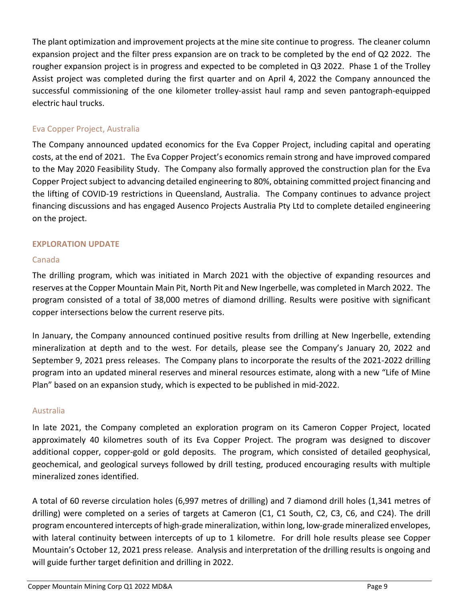The plant optimization and improvement projects at the mine site continue to progress. The cleaner column expansion project and the filter press expansion are on track to be completed by the end of Q2 2022. The rougher expansion project is in progress and expected to be completed in Q3 2022. Phase 1 of the Trolley Assist project was completed during the first quarter and on April 4, 2022 the Company announced the successful commissioning of the one kilometer trolley‐assist haul ramp and seven pantograph‐equipped electric haul trucks.

## Eva Copper Project, Australia

The Company announced updated economics for the Eva Copper Project, including capital and operating costs, at the end of 2021. The Eva Copper Project's economics remain strong and have improved compared to the May 2020 Feasibility Study. The Company also formally approved the construction plan for the Eva Copper Project subject to advancing detailed engineering to 80%, obtaining committed project financing and the lifting of COVID‐19 restrictions in Queensland, Australia. The Company continues to advance project financing discussions and has engaged Ausenco Projects Australia Pty Ltd to complete detailed engineering on the project.

## **EXPLORATION UPDATE**

## Canada

The drilling program, which was initiated in March 2021 with the objective of expanding resources and reserves at the Copper Mountain Main Pit, North Pit and New Ingerbelle, was completed in March 2022. The program consisted of a total of 38,000 metres of diamond drilling. Results were positive with significant copper intersections below the current reserve pits.

In January, the Company announced continued positive results from drilling at New Ingerbelle, extending mineralization at depth and to the west. For details, please see the Company's January 20, 2022 and September 9, 2021 press releases. The Company plans to incorporate the results of the 2021-2022 drilling program into an updated mineral reserves and mineral resources estimate, along with a new "Life of Mine Plan" based on an expansion study, which is expected to be published in mid‐2022.

## Australia

In late 2021, the Company completed an exploration program on its Cameron Copper Project, located approximately 40 kilometres south of its Eva Copper Project. The program was designed to discover additional copper, copper-gold or gold deposits. The program, which consisted of detailed geophysical, geochemical, and geological surveys followed by drill testing, produced encouraging results with multiple mineralized zones identified.

A total of 60 reverse circulation holes (6,997 metres of drilling) and 7 diamond drill holes (1,341 metres of drilling) were completed on a series of targets at Cameron (C1, C1 South, C2, C3, C6, and C24). The drill program encountered intercepts of high‐grade mineralization, within long, low‐grade mineralized envelopes, with lateral continuity between intercepts of up to 1 kilometre. For drill hole results please see Copper Mountain's October 12, 2021 press release. Analysis and interpretation of the drilling results is ongoing and will guide further target definition and drilling in 2022.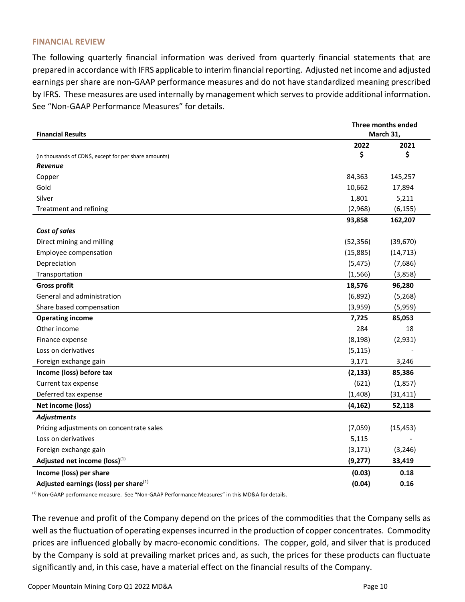#### **FINANCIAL REVIEW**

The following quarterly financial information was derived from quarterly financial statements that are prepared in accordance with IFRS applicable to interim financialreporting. Adjusted net income and adjusted earnings per share are non‐GAAP performance measures and do not have standardized meaning prescribed by IFRS. These measures are used internally by management which serves to provide additional information. See "Non‐GAAP Performance Measures" for details.

| <b>Financial Results</b>                              | Three months ended<br>March 31, |           |
|-------------------------------------------------------|---------------------------------|-----------|
|                                                       | 2022                            | 2021      |
| (In thousands of CDN\$, except for per share amounts) | \$                              | \$        |
| <b>Revenue</b>                                        |                                 |           |
| Copper                                                | 84,363                          | 145,257   |
| Gold                                                  | 10,662                          | 17,894    |
| Silver                                                | 1,801                           | 5,211     |
| Treatment and refining                                | (2,968)                         | (6, 155)  |
|                                                       | 93,858                          | 162,207   |
| Cost of sales                                         |                                 |           |
| Direct mining and milling                             | (52, 356)                       | (39, 670) |
| Employee compensation                                 | (15, 885)                       | (14, 713) |
| Depreciation                                          | (5, 475)                        | (7,686)   |
| Transportation                                        | (1, 566)                        | (3,858)   |
| <b>Gross profit</b>                                   | 18,576                          | 96,280    |
| General and administration                            | (6,892)                         | (5, 268)  |
| Share based compensation                              | (3,959)                         | (5,959)   |
| <b>Operating income</b>                               | 7,725                           | 85,053    |
| Other income                                          | 284                             | 18        |
| Finance expense                                       | (8, 198)                        | (2,931)   |
| Loss on derivatives                                   | (5, 115)                        |           |
| Foreign exchange gain                                 | 3,171                           | 3,246     |
| Income (loss) before tax                              | (2, 133)                        | 85,386    |
| Current tax expense                                   | (621)                           | (1,857)   |
| Deferred tax expense                                  | (1,408)                         | (31, 411) |
| Net income (loss)                                     | (4, 162)                        | 52,118    |
| <b>Adjustments</b>                                    |                                 |           |
| Pricing adjustments on concentrate sales              | (7,059)                         | (15, 453) |
| Loss on derivatives                                   | 5,115                           |           |
| Foreign exchange gain                                 | (3, 171)                        | (3, 246)  |
| Adjusted net income (loss)(1)                         | (9, 277)                        | 33,419    |
| Income (loss) per share                               | (0.03)                          | 0.18      |
| Adjusted earnings (loss) per share <sup>(1)</sup>     | (0.04)                          | 0.16      |

<sup>(1)</sup> Non-GAAP performance measure. See "Non-GAAP Performance Measures" in this MD&A for details.

The revenue and profit of the Company depend on the prices of the commodities that the Company sells as well as the fluctuation of operating expenses incurred in the production of copper concentrates. Commodity prices are influenced globally by macro‐economic conditions. The copper, gold, and silver that is produced by the Company is sold at prevailing market prices and, as such, the prices for these products can fluctuate significantly and, in this case, have a material effect on the financial results of the Company.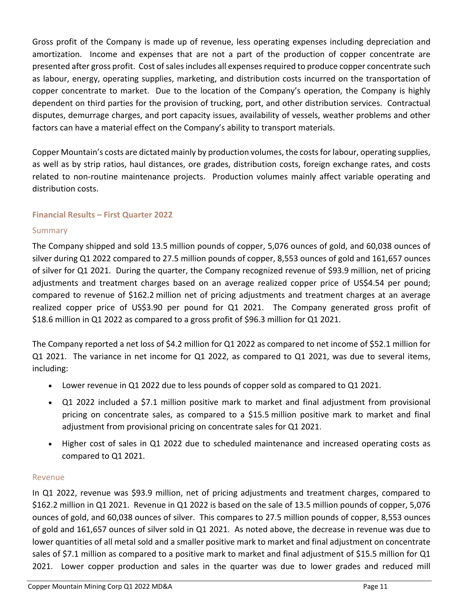Gross profit of the Company is made up of revenue, less operating expenses including depreciation and amortization. Income and expenses that are not a part of the production of copper concentrate are presented after gross profit. Cost of sales includes all expenses required to produce copper concentrate such as labour, energy, operating supplies, marketing, and distribution costs incurred on the transportation of copper concentrate to market. Due to the location of the Company's operation, the Company is highly dependent on third parties for the provision of trucking, port, and other distribution services. Contractual disputes, demurrage charges, and port capacity issues, availability of vessels, weather problems and other factors can have a material effect on the Company's ability to transport materials.

Copper Mountain's costs are dictated mainly by production volumes, the costsfor labour, operating supplies, as well as by strip ratios, haul distances, ore grades, distribution costs, foreign exchange rates, and costs related to non-routine maintenance projects. Production volumes mainly affect variable operating and distribution costs.

## **Financial Results – First Quarter 2022**

## Summary

The Company shipped and sold 13.5 million pounds of copper, 5,076 ounces of gold, and 60,038 ounces of silver during Q1 2022 compared to 27.5 million pounds of copper, 8,553 ounces of gold and 161,657 ounces of silver for Q1 2021. During the quarter, the Company recognized revenue of \$93.9 million, net of pricing adjustments and treatment charges based on an average realized copper price of US\$4.54 per pound; compared to revenue of \$162.2 million net of pricing adjustments and treatment charges at an average realized copper price of US\$3.90 per pound for Q1 2021. The Company generated gross profit of \$18.6 million in Q1 2022 as compared to a gross profit of \$96.3 million for Q1 2021.

The Company reported a net loss of \$4.2 million for Q1 2022 as compared to net income of \$52.1 million for Q1 2021. The variance in net income for Q1 2022, as compared to Q1 2021, was due to several items, including:

- Lower revenue in Q1 2022 due to less pounds of copper sold as compared to Q1 2021.
- Q1 2022 included a \$7.1 million positive mark to market and final adjustment from provisional pricing on concentrate sales, as compared to a \$15.5 million positive mark to market and final adjustment from provisional pricing on concentrate sales for Q1 2021.
- Higher cost of sales in Q1 2022 due to scheduled maintenance and increased operating costs as compared to Q1 2021.

## Revenue

In Q1 2022, revenue was \$93.9 million, net of pricing adjustments and treatment charges, compared to \$162.2 million in Q1 2021. Revenue in Q1 2022 is based on the sale of 13.5 million pounds of copper, 5,076 ounces of gold, and 60,038 ounces of silver. This compares to 27.5 million pounds of copper, 8,553 ounces of gold and 161,657 ounces of silver sold in Q1 2021. As noted above, the decrease in revenue was due to lower quantities of all metal sold and a smaller positive mark to market and final adjustment on concentrate sales of \$7.1 million as compared to a positive mark to market and final adjustment of \$15.5 million for Q1 2021. Lower copper production and sales in the quarter was due to lower grades and reduced mill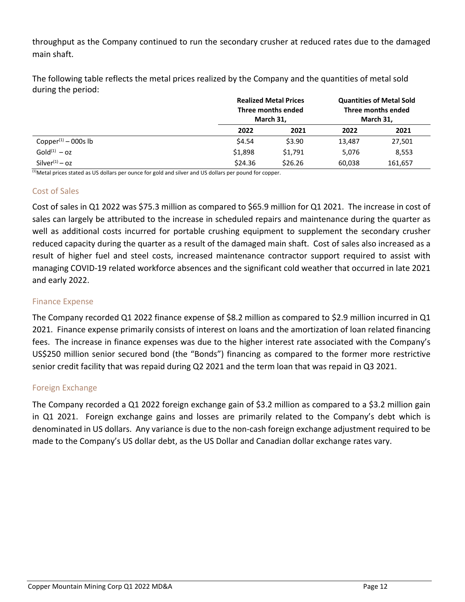throughput as the Company continued to run the secondary crusher at reduced rates due to the damaged main shaft.

The following table reflects the metal prices realized by the Company and the quantities of metal sold during the period:

|                                              |         | <b>Realized Metal Prices</b><br>Three months ended<br>March 31, | <b>Quantities of Metal Sold</b><br>Three months ended<br>March 31, |         |
|----------------------------------------------|---------|-----------------------------------------------------------------|--------------------------------------------------------------------|---------|
|                                              | 2022    | 2021                                                            | 2022                                                               | 2021    |
| Copper <sup><math>(1)</math></sup> – 000s lb | \$4.54  | \$3.90                                                          | 13,487                                                             | 27,501  |
| $Gold^{(1)} - oz$                            | \$1,898 | \$1,791                                                         | 5,076                                                              | 8,553   |
| $Silver^{(1)} - oz$                          | \$24.36 | \$26.26                                                         | 60.038                                                             | 161,657 |

 $<sup>(1)</sup>$ Metal prices stated as US dollars per ounce for gold and silver and US dollars per pound for copper.</sup>

## Cost of Sales

Cost of sales in Q1 2022 was \$75.3 million as compared to \$65.9 million for Q1 2021. The increase in cost of sales can largely be attributed to the increase in scheduled repairs and maintenance during the quarter as well as additional costs incurred for portable crushing equipment to supplement the secondary crusher reduced capacity during the quarter as a result of the damaged main shaft. Cost of sales also increased as a result of higher fuel and steel costs, increased maintenance contractor support required to assist with managing COVID‐19 related workforce absences and the significant cold weather that occurred in late 2021 and early 2022.

## Finance Expense

The Company recorded Q1 2022 finance expense of \$8.2 million as compared to \$2.9 million incurred in Q1 2021. Finance expense primarily consists of interest on loans and the amortization of loan related financing fees. The increase in finance expenses was due to the higher interest rate associated with the Company's US\$250 million senior secured bond (the "Bonds") financing as compared to the former more restrictive senior credit facility that was repaid during Q2 2021 and the term loan that was repaid in Q3 2021.

## Foreign Exchange

The Company recorded a Q1 2022 foreign exchange gain of \$3.2 million as compared to a \$3.2 million gain in Q1 2021. Foreign exchange gains and losses are primarily related to the Company's debt which is denominated in US dollars. Any variance is due to the non‐cash foreign exchange adjustment required to be made to the Company's US dollar debt, as the US Dollar and Canadian dollar exchange rates vary.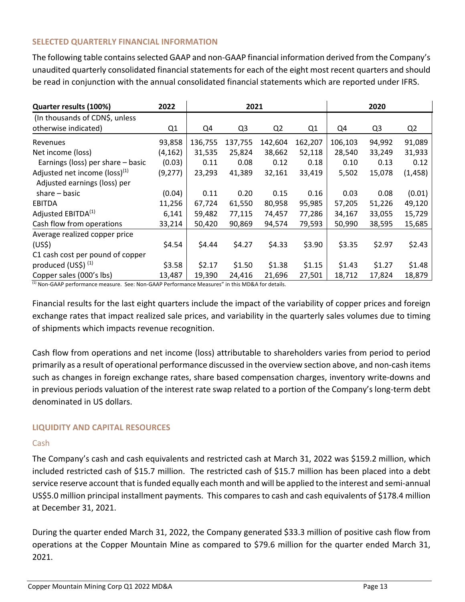## **SELECTED QUARTERLY FINANCIAL INFORMATION**

The following table contains selected GAAP and non-GAAP financial information derived from the Company's unaudited quarterly consolidated financial statements for each of the eight most recent quarters and should be read in conjunction with the annual consolidated financial statements which are reported under IFRS.

| Quarter results (100%)                                 | 2022     |         | 2021           |                |         | 2020    |                |                |
|--------------------------------------------------------|----------|---------|----------------|----------------|---------|---------|----------------|----------------|
| (In thousands of CDN\$, unless<br>otherwise indicated) | Q1       | Q4      | Q <sub>3</sub> | Q <sub>2</sub> | Q1      | Q4      | Q <sub>3</sub> | Q <sub>2</sub> |
| Revenues                                               | 93,858   | 136,755 | 137,755        | 142,604        | 162,207 | 106,103 | 94,992         | 91,089         |
| Net income (loss)                                      | (4, 162) | 31,535  | 25,824         | 38,662         | 52,118  | 28,540  | 33,249         | 31,933         |
| Earnings (loss) per share - basic                      | (0.03)   | 0.11    | 0.08           | 0.12           | 0.18    | 0.10    | 0.13           | 0.12           |
| Adjusted net income ( $loss$ ) <sup>(1)</sup>          | (9, 277) | 23,293  | 41,389         | 32,161         | 33,419  | 5,502   | 15,078         | (1, 458)       |
| Adjusted earnings (loss) per                           |          |         |                |                |         |         |                |                |
| $share - basic$                                        | (0.04)   | 0.11    | 0.20           | 0.15           | 0.16    | 0.03    | 0.08           | (0.01)         |
| <b>EBITDA</b>                                          | 11,256   | 67,724  | 61,550         | 80,958         | 95,985  | 57,205  | 51,226         | 49,120         |
| Adjusted EBITDA <sup>(1)</sup>                         | 6,141    | 59,482  | 77,115         | 74,457         | 77,286  | 34,167  | 33,055         | 15,729         |
| Cash flow from operations                              | 33,214   | 50,420  | 90,869         | 94,574         | 79,593  | 50,990  | 38,595         | 15,685         |
| Average realized copper price                          |          |         |                |                |         |         |                |                |
| (US <sub>5</sub> )                                     | \$4.54   | \$4.44  | \$4.27         | \$4.33         | \$3.90  | \$3.35  | \$2.97         | \$2.43         |
| C1 cash cost per pound of copper                       |          |         |                |                |         |         |                |                |
| produced $(US\$ ) <sup>(1)</sup>                       | \$3.58   | \$2.17  | \$1.50         | \$1.38         | \$1.15  | \$1.43  | \$1.27         | \$1.48         |
| Copper sales (000's lbs)                               | 13,487   | 19,390  | 24,416         | 21,696         | 27,501  | 18,712  | 17,824         | 18,879         |

(1) Non-GAAP performance measure. See: Non-GAAP Performance Measures" in this MD&A for details.

Financial results for the last eight quarters include the impact of the variability of copper prices and foreign exchange rates that impact realized sale prices, and variability in the quarterly sales volumes due to timing of shipments which impacts revenue recognition.

Cash flow from operations and net income (loss) attributable to shareholders varies from period to period primarily as a result of operational performance discussed in the overview section above, and non‐cash items such as changes in foreign exchange rates, share based compensation charges, inventory write‐downs and in previous periods valuation of the interest rate swap related to a portion of the Company's long-term debt denominated in US dollars.

## **LIQUIDITY AND CAPITAL RESOURCES**

## Cash

The Company's cash and cash equivalents and restricted cash at March 31, 2022 was \$159.2 million, which included restricted cash of \$15.7 million. The restricted cash of \$15.7 million has been placed into a debt service reserve account that isfunded equally each month and will be applied to the interest and semi‐annual US\$5.0 million principal installment payments. This compares to cash and cash equivalents of \$178.4 million at December 31, 2021.

During the quarter ended March 31, 2022, the Company generated \$33.3 million of positive cash flow from operations at the Copper Mountain Mine as compared to \$79.6 million for the quarter ended March 31, 2021.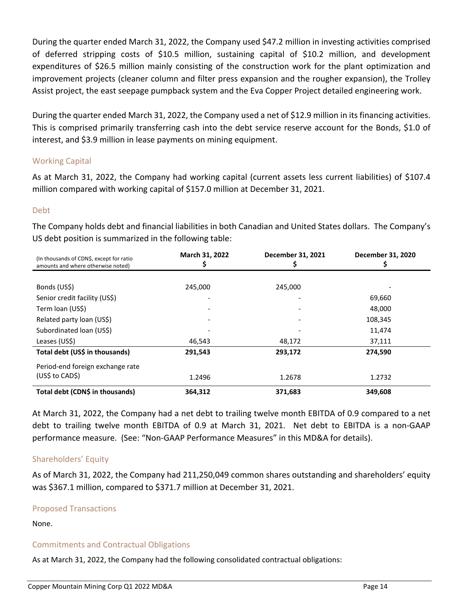During the quarter ended March 31, 2022, the Company used \$47.2 million in investing activities comprised of deferred stripping costs of \$10.5 million, sustaining capital of \$10.2 million, and development expenditures of \$26.5 million mainly consisting of the construction work for the plant optimization and improvement projects (cleaner column and filter press expansion and the rougher expansion), the Trolley Assist project, the east seepage pumpback system and the Eva Copper Project detailed engineering work.

During the quarter ended March 31, 2022, the Company used a net of \$12.9 million in its financing activities. This is comprised primarily transferring cash into the debt service reserve account for the Bonds, \$1.0 of interest, and \$3.9 million in lease payments on mining equipment.

## Working Capital

As at March 31, 2022, the Company had working capital (current assets less current liabilities) of \$107.4 million compared with working capital of \$157.0 million at December 31, 2021.

## Debt

The Company holds debt and financial liabilities in both Canadian and United States dollars. The Company's US debt position is summarized in the following table:

| (In thousands of CDN\$, except for ratio<br>amounts and where otherwise noted) | March 31, 2022 | December 31, 2021 | December 31, 2020 |
|--------------------------------------------------------------------------------|----------------|-------------------|-------------------|
|                                                                                |                |                   |                   |
| Bonds (US\$)                                                                   | 245,000        | 245,000           |                   |
| Senior credit facility (US\$)                                                  |                |                   | 69,660            |
| Term loan (US\$)                                                               |                |                   | 48,000            |
| Related party loan (US\$)                                                      |                |                   | 108,345           |
| Subordinated Ioan (US\$)                                                       |                |                   | 11,474            |
| Leases (US\$)                                                                  | 46,543         | 48,172            | 37,111            |
| Total debt (US\$ in thousands)                                                 | 291,543        | 293,172           | 274,590           |
| Period-end foreign exchange rate                                               |                |                   |                   |
| (US\$ to CAD\$)                                                                | 1.2496         | 1.2678            | 1.2732            |
| Total debt (CDN\$ in thousands)                                                | 364,312        | 371,683           | 349,608           |

At March 31, 2022, the Company had a net debt to trailing twelve month EBITDA of 0.9 compared to a net debt to trailing twelve month EBITDA of 0.9 at March 31, 2021. Net debt to EBITDA is a non-GAAP performance measure. (See: "Non‐GAAP Performance Measures" in this MD&A for details).

## Shareholders' Equity

As of March 31, 2022, the Company had 211,250,049 common shares outstanding and shareholders' equity was \$367.1 million, compared to \$371.7 million at December 31, 2021.

## Proposed Transactions

None.

## Commitments and Contractual Obligations

As at March 31, 2022, the Company had the following consolidated contractual obligations: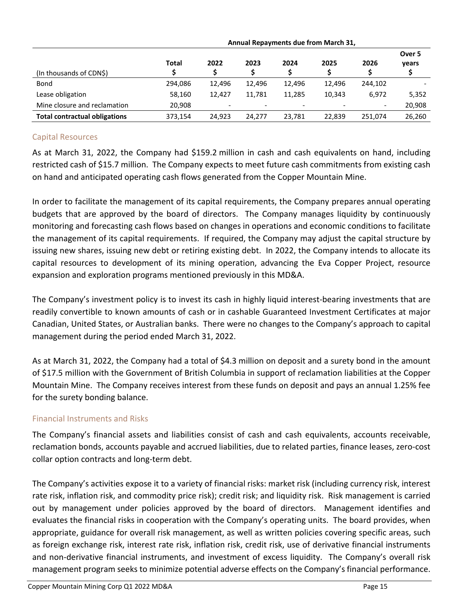|                                      | Annual Repayments due from March 31, |        |        |                          |                          |                          |                 |
|--------------------------------------|--------------------------------------|--------|--------|--------------------------|--------------------------|--------------------------|-----------------|
|                                      | <b>Total</b>                         | 2022   | 2023   | 2024                     | 2025                     | 2026                     | Over 5<br>years |
| (In thousands of CDN\$)              |                                      |        |        |                          |                          |                          |                 |
| Bond                                 | 294.086                              | 12.496 | 12.496 | 12.496                   | 12.496                   | 244.102                  |                 |
| Lease obligation                     | 58,160                               | 12.427 | 11.781 | 11.285                   | 10.343                   | 6,972                    | 5,352           |
| Mine closure and reclamation         | 20,908                               | -      |        | $\overline{\phantom{a}}$ | $\overline{\phantom{0}}$ | $\overline{\phantom{0}}$ | 20,908          |
| <b>Total contractual obligations</b> | 373,154                              | 24.923 | 24.277 | 23.781                   | 22,839                   | 251.074                  | 26,260          |

## Capital Resources

As at March 31, 2022, the Company had \$159.2 million in cash and cash equivalents on hand, including restricted cash of \$15.7 million. The Company expects to meet future cash commitments from existing cash on hand and anticipated operating cash flows generated from the Copper Mountain Mine.

In order to facilitate the management of its capital requirements, the Company prepares annual operating budgets that are approved by the board of directors. The Company manages liquidity by continuously monitoring and forecasting cash flows based on changes in operations and economic conditions to facilitate the management of its capital requirements. If required, the Company may adjust the capital structure by issuing new shares, issuing new debt or retiring existing debt. In 2022, the Company intends to allocate its capital resources to development of its mining operation, advancing the Eva Copper Project, resource expansion and exploration programs mentioned previously in this MD&A.

The Company's investment policy is to invest its cash in highly liquid interest‐bearing investments that are readily convertible to known amounts of cash or in cashable Guaranteed Investment Certificates at major Canadian, United States, or Australian banks. There were no changes to the Company's approach to capital management during the period ended March 31, 2022.

As at March 31, 2022, the Company had a total of \$4.3 million on deposit and a surety bond in the amount of \$17.5 million with the Government of British Columbia in support of reclamation liabilities at the Copper Mountain Mine. The Company receives interest from these funds on deposit and pays an annual 1.25% fee for the surety bonding balance.

## Financial Instruments and Risks

The Company's financial assets and liabilities consist of cash and cash equivalents, accounts receivable, reclamation bonds, accounts payable and accrued liabilities, due to related parties, finance leases, zero‐cost collar option contracts and long‐term debt.

The Company's activities expose it to a variety of financial risks: market risk (including currency risk, interest rate risk, inflation risk, and commodity price risk); credit risk; and liquidity risk. Risk management is carried out by management under policies approved by the board of directors. Management identifies and evaluates the financial risks in cooperation with the Company's operating units. The board provides, when appropriate, guidance for overall risk management, as well as written policies covering specific areas, such as foreign exchange risk, interest rate risk, inflation risk, credit risk, use of derivative financial instruments and non-derivative financial instruments, and investment of excess liquidity. The Company's overall risk management program seeks to minimize potential adverse effects on the Company's financial performance.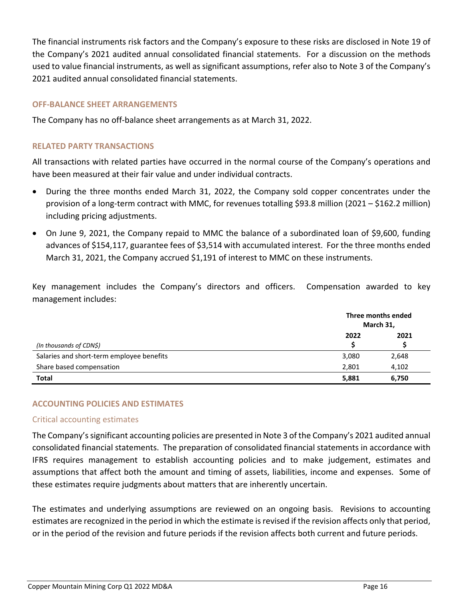The financial instruments risk factors and the Company's exposure to these risks are disclosed in Note 19 of the Company's 2021 audited annual consolidated financial statements. For a discussion on the methods used to value financial instruments, as well as significant assumptions, refer also to Note 3 of the Company's 2021 audited annual consolidated financial statements.

## **OFF‐BALANCE SHEET ARRANGEMENTS**

The Company has no off‐balance sheet arrangements as at March 31, 2022.

## **RELATED PARTY TRANSACTIONS**

All transactions with related parties have occurred in the normal course of the Company's operations and have been measured at their fair value and under individual contracts.

- During the three months ended March 31, 2022, the Company sold copper concentrates under the provision of a long‐term contract with MMC, for revenues totalling \$93.8 million (2021 – \$162.2 million) including pricing adjustments.
- On June 9, 2021, the Company repaid to MMC the balance of a subordinated loan of \$9,600, funding advances of \$154,117, guarantee fees of \$3,514 with accumulated interest. For the three months ended March 31, 2021, the Company accrued \$1,191 of interest to MMC on these instruments.

Key management includes the Company's directors and officers. Compensation awarded to key management includes:

|                                           | Three months ended<br>March 31, |       |
|-------------------------------------------|---------------------------------|-------|
| (In thousands of CDN\$)                   | 2022                            | 2021  |
| Salaries and short-term employee benefits | 3,080                           | 2,648 |
| Share based compensation                  | 2,801                           | 4,102 |
| <b>Total</b>                              | 5,881                           | 6,750 |

## **ACCOUNTING POLICIES AND ESTIMATES**

## Critical accounting estimates

The Company's significant accounting policies are presented in Note 3 of the Company's 2021 audited annual consolidated financial statements. The preparation of consolidated financial statements in accordance with IFRS requires management to establish accounting policies and to make judgement, estimates and assumptions that affect both the amount and timing of assets, liabilities, income and expenses. Some of these estimates require judgments about matters that are inherently uncertain.

The estimates and underlying assumptions are reviewed on an ongoing basis. Revisions to accounting estimates are recognized in the period in which the estimate is revised if the revision affects only that period, or in the period of the revision and future periods if the revision affects both current and future periods.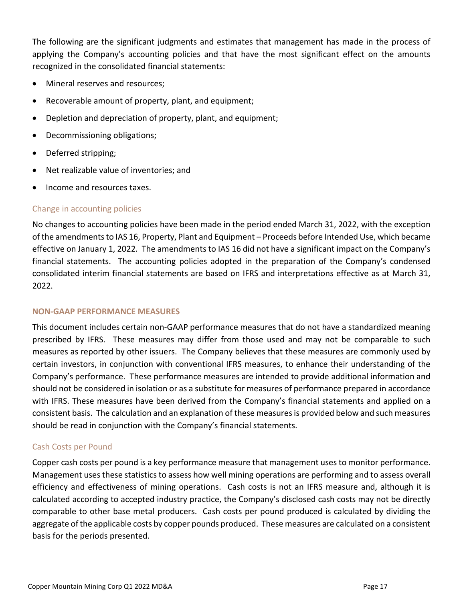The following are the significant judgments and estimates that management has made in the process of applying the Company's accounting policies and that have the most significant effect on the amounts recognized in the consolidated financial statements:

- Mineral reserves and resources;
- Recoverable amount of property, plant, and equipment;
- Depletion and depreciation of property, plant, and equipment;
- Decommissioning obligations;
- Deferred stripping;
- Net realizable value of inventories; and
- Income and resources taxes.

## Change in accounting policies

No changes to accounting policies have been made in the period ended March 31, 2022, with the exception of the amendments to IAS 16, Property, Plant and Equipment – Proceeds before Intended Use, which became effective on January 1, 2022. The amendments to IAS 16 did not have a significant impact on the Company's financial statements. The accounting policies adopted in the preparation of the Company's condensed consolidated interim financial statements are based on IFRS and interpretations effective as at March 31, 2022.

## **NON‐GAAP PERFORMANCE MEASURES**

This document includes certain non‐GAAP performance measures that do not have a standardized meaning prescribed by IFRS. These measures may differ from those used and may not be comparable to such measures as reported by other issuers. The Company believes that these measures are commonly used by certain investors, in conjunction with conventional IFRS measures, to enhance their understanding of the Company's performance. These performance measures are intended to provide additional information and should not be considered in isolation or as a substitute for measures of performance prepared in accordance with IFRS. These measures have been derived from the Company's financial statements and applied on a consistent basis. The calculation and an explanation of these measuresis provided below and such measures should be read in conjunction with the Company's financial statements.

## Cash Costs per Pound

Copper cash costs per pound is a key performance measure that management usesto monitor performance. Management uses these statistics to assess how well mining operations are performing and to assess overall efficiency and effectiveness of mining operations. Cash costs is not an IFRS measure and, although it is calculated according to accepted industry practice, the Company's disclosed cash costs may not be directly comparable to other base metal producers. Cash costs per pound produced is calculated by dividing the aggregate ofthe applicable costs by copper pounds produced. These measures are calculated on a consistent basis for the periods presented.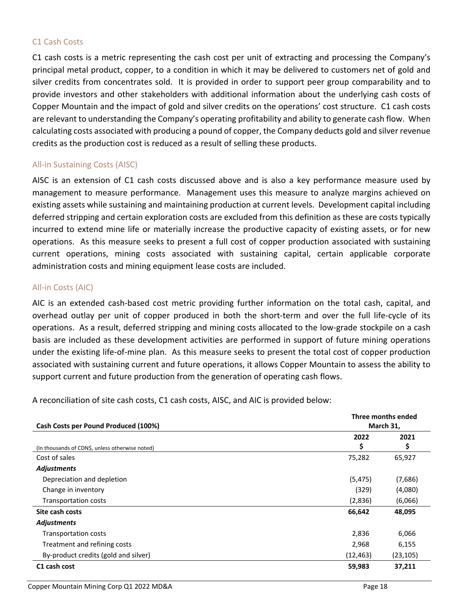## C1 Cash Costs

C1 cash costs is a metric representing the cash cost per unit of extracting and processing the Company's principal metal product, copper, to a condition in which it may be delivered to customers net of gold and silver credits from concentrates sold. It is provided in order to support peer group comparability and to provide investors and other stakeholders with additional information about the underlying cash costs of Copper Mountain and the impact of gold and silver credits on the operations' cost structure. C1 cash costs are relevant to understanding the Company's operating profitability and ability to generate cash flow. When calculating costs associated with producing a pound of copper, the Company deducts gold and silver revenue credits as the production cost is reduced as a result of selling these products.

## All‐in Sustaining Costs (AISC)

AISC is an extension of C1 cash costs discussed above and is also a key performance measure used by management to measure performance. Management uses this measure to analyze margins achieved on existing assets while sustaining and maintaining production at current levels. Development capital including deferred stripping and certain exploration costs are excluded from this definition as these are costs typically incurred to extend mine life or materially increase the productive capacity of existing assets, or for new operations. As this measure seeks to present a full cost of copper production associated with sustaining current operations, mining costs associated with sustaining capital, certain applicable corporate administration costs and mining equipment lease costs are included.

## All‐in Costs (AIC)

AIC is an extended cash‐based cost metric providing further information on the total cash, capital, and overhead outlay per unit of copper produced in both the short‐term and over the full life‐cycle of its operations. As a result, deferred stripping and mining costs allocated to the low‐grade stockpile on a cash basis are included as these development activities are performed in support of future mining operations under the existing life‐of‐mine plan. As this measure seeks to present the total cost of copper production associated with sustaining current and future operations, it allows Copper Mountain to assess the ability to support current and future production from the generation of operating cash flows.

A reconciliation of site cash costs, C1 cash costs, AISC, and AIC is provided below:

|                                                 | Three months ended |           |
|-------------------------------------------------|--------------------|-----------|
| Cash Costs per Pound Produced (100%)            | March 31,          |           |
|                                                 | 2022               | 2021      |
| (In thousands of CDN\$, unless otherwise noted) | \$                 | \$        |
| Cost of sales                                   | 75,282             | 65,927    |
| <b>Adjustments</b>                              |                    |           |
| Depreciation and depletion                      | (5, 475)           | (7,686)   |
| Change in inventory                             | (329)              | (4,080)   |
| <b>Transportation costs</b>                     | (2,836)            | (6,066)   |
| Site cash costs                                 | 66,642             | 48,095    |
| <b>Adjustments</b>                              |                    |           |
| <b>Transportation costs</b>                     | 2,836              | 6,066     |
| Treatment and refining costs                    | 2,968              | 6,155     |
| By-product credits (gold and silver)            | (12, 463)          | (23, 105) |
| C1 cash cost                                    | 59,983             | 37,211    |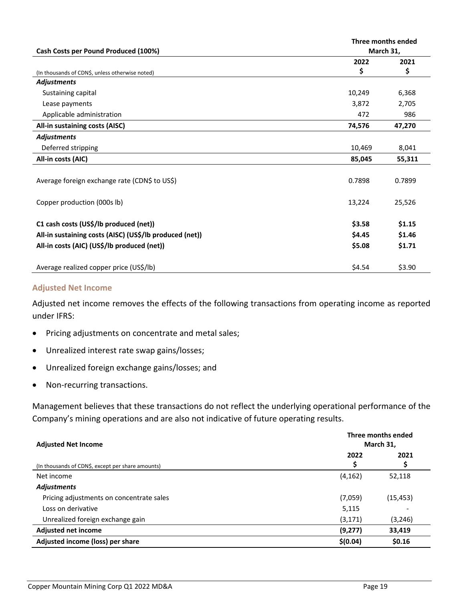| Cash Costs per Pound Produced (100%)                    |        | Three months ended<br>March 31, |  |
|---------------------------------------------------------|--------|---------------------------------|--|
|                                                         | 2022   | 2021                            |  |
| (In thousands of CDN\$, unless otherwise noted)         | \$     | \$                              |  |
| <b>Adjustments</b>                                      |        |                                 |  |
| Sustaining capital                                      | 10,249 | 6,368                           |  |
| Lease payments                                          | 3,872  | 2,705                           |  |
| Applicable administration                               | 472    | 986                             |  |
| All-in sustaining costs (AISC)                          | 74,576 | 47,270                          |  |
| <b>Adjustments</b>                                      |        |                                 |  |
| Deferred stripping                                      | 10,469 | 8,041                           |  |
| All-in costs (AIC)                                      | 85,045 | 55,311                          |  |
|                                                         |        |                                 |  |
| Average foreign exchange rate (CDN\$ to US\$)           | 0.7898 | 0.7899                          |  |
|                                                         |        |                                 |  |
| Copper production (000s lb)                             | 13,224 | 25,526                          |  |
|                                                         |        |                                 |  |
| C1 cash costs (US\$/lb produced (net))                  | \$3.58 | \$1.15                          |  |
| All-in sustaining costs (AISC) (US\$/Ib produced (net)) | \$4.45 | \$1.46                          |  |
| All-in costs (AIC) (US\$/Ib produced (net))             | \$5.08 | \$1.71                          |  |
|                                                         |        |                                 |  |
| Average realized copper price (US\$/lb)                 | \$4.54 | \$3.90                          |  |

#### **Adjusted Net Income**

Adjusted net income removes the effects of the following transactions from operating income as reported under IFRS:

- Pricing adjustments on concentrate and metal sales;
- Unrealized interest rate swap gains/losses;
- Unrealized foreign exchange gains/losses; and
- Non-recurring transactions.

Management believes that these transactions do not reflect the underlying operational performance of the Company's mining operations and are also not indicative of future operating results.

| <b>Adjusted Net Income</b>                        | Three months ended<br>March 31, |             |
|---------------------------------------------------|---------------------------------|-------------|
| (In thousands of CDN\$, except per share amounts) | 2022                            | 2021<br>\$, |
| Net income                                        | (4, 162)                        | 52,118      |
| <b>Adjustments</b>                                |                                 |             |
| Pricing adjustments on concentrate sales          | (7,059)                         | (15, 453)   |
| Loss on derivative                                | 5,115                           |             |
| Unrealized foreign exchange gain                  | (3, 171)                        | (3, 246)    |
| <b>Adjusted net income</b>                        | (9,277)                         | 33,419      |
| Adjusted income (loss) per share                  | \$(0.04)                        | \$0.16      |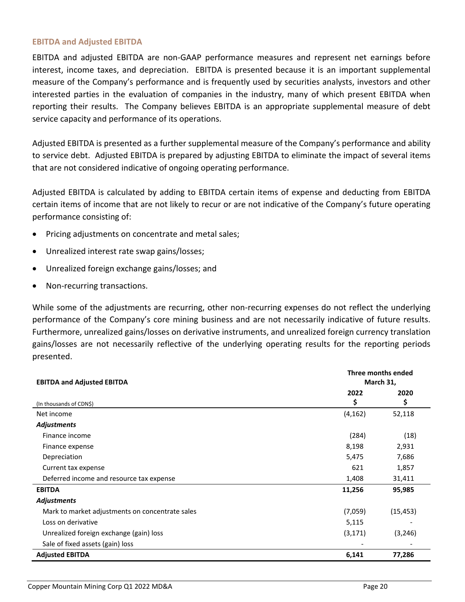#### **EBITDA and Adjusted EBITDA**

EBITDA and adjusted EBITDA are non‐GAAP performance measures and represent net earnings before interest, income taxes, and depreciation. EBITDA is presented because it is an important supplemental measure of the Company's performance and is frequently used by securities analysts, investors and other interested parties in the evaluation of companies in the industry, many of which present EBITDA when reporting their results. The Company believes EBITDA is an appropriate supplemental measure of debt service capacity and performance of its operations.

Adjusted EBITDA is presented as a further supplemental measure of the Company's performance and ability to service debt. Adjusted EBITDA is prepared by adjusting EBITDA to eliminate the impact of several items that are not considered indicative of ongoing operating performance.

Adjusted EBITDA is calculated by adding to EBITDA certain items of expense and deducting from EBITDA certain items of income that are not likely to recur or are not indicative of the Company's future operating performance consisting of:

- Pricing adjustments on concentrate and metal sales;
- Unrealized interest rate swap gains/losses;
- Unrealized foreign exchange gains/losses; and
- Non-recurring transactions.

While some of the adjustments are recurring, other non-recurring expenses do not reflect the underlying performance of the Company's core mining business and are not necessarily indicative of future results. Furthermore, unrealized gains/losses on derivative instruments, and unrealized foreign currency translation gains/losses are not necessarily reflective of the underlying operating results for the reporting periods presented.

| <b>EBITDA and Adjusted EBITDA</b>               | Three months ended<br>March 31, |           |
|-------------------------------------------------|---------------------------------|-----------|
|                                                 | 2022                            | 2020      |
| (In thousands of CDN\$)                         | \$                              | \$        |
| Net income                                      | (4, 162)                        | 52,118    |
| <b>Adjustments</b>                              |                                 |           |
| Finance income                                  | (284)                           | (18)      |
| Finance expense                                 | 8,198                           | 2,931     |
| Depreciation                                    | 5,475                           | 7,686     |
| Current tax expense                             | 621                             | 1,857     |
| Deferred income and resource tax expense        | 1,408                           | 31,411    |
| <b>EBITDA</b>                                   | 11,256                          | 95,985    |
| <b>Adjustments</b>                              |                                 |           |
| Mark to market adjustments on concentrate sales | (7,059)                         | (15, 453) |
| Loss on derivative                              | 5,115                           |           |
| Unrealized foreign exchange (gain) loss         | (3, 171)                        | (3, 246)  |
| Sale of fixed assets (gain) loss                |                                 |           |
| <b>Adjusted EBITDA</b>                          | 6,141                           | 77,286    |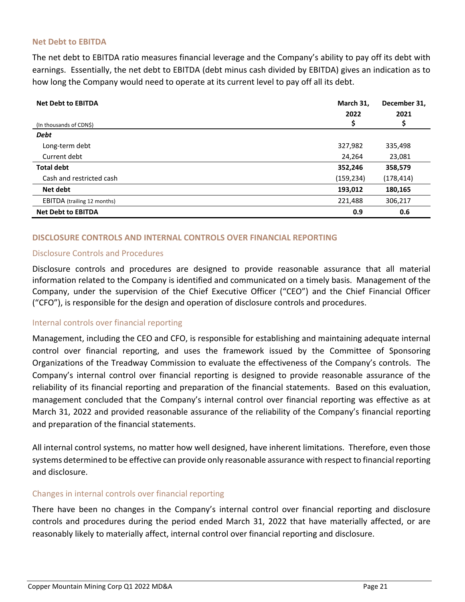#### **Net Debt to EBITDA**

The net debt to EBITDA ratio measures financial leverage and the Company's ability to pay off its debt with earnings. Essentially, the net debt to EBITDA (debt minus cash divided by EBITDA) gives an indication as to how long the Company would need to operate at its current level to pay off all its debt.

| <b>Net Debt to EBITDA</b>          | March 31,<br>2022 | December 31,<br>2021 |
|------------------------------------|-------------------|----------------------|
| (In thousands of CDN\$)            | Ş                 | Ş                    |
| <b>Debt</b>                        |                   |                      |
| Long-term debt                     | 327,982           | 335,498              |
| Current debt                       | 24,264            | 23,081               |
| <b>Total debt</b>                  | 352,246           | 358,579              |
| Cash and restricted cash           | (159, 234)        | (178, 414)           |
| Net debt                           | 193,012           | 180,165              |
| <b>EBITDA</b> (trailing 12 months) | 221,488           | 306,217              |
| <b>Net Debt to EBITDA</b>          | 0.9               | 0.6                  |

## **DISCLOSURE CONTROLS AND INTERNAL CONTROLS OVER FINANCIAL REPORTING**

## Disclosure Controls and Procedures

Disclosure controls and procedures are designed to provide reasonable assurance that all material information related to the Company is identified and communicated on a timely basis. Management of the Company, under the supervision of the Chief Executive Officer ("CEO") and the Chief Financial Officer ("CFO"), is responsible for the design and operation of disclosure controls and procedures.

## Internal controls over financial reporting

Management, including the CEO and CFO, is responsible for establishing and maintaining adequate internal control over financial reporting, and uses the framework issued by the Committee of Sponsoring Organizations of the Treadway Commission to evaluate the effectiveness of the Company's controls. The Company's internal control over financial reporting is designed to provide reasonable assurance of the reliability of its financial reporting and preparation of the financial statements. Based on this evaluation, management concluded that the Company's internal control over financial reporting was effective as at March 31, 2022 and provided reasonable assurance of the reliability of the Company's financial reporting and preparation of the financial statements.

All internal control systems, no matter how well designed, have inherent limitations. Therefore, even those systems determined to be effective can provide only reasonable assurance with respect to financial reporting and disclosure.

#### Changes in internal controls over financial reporting

There have been no changes in the Company's internal control over financial reporting and disclosure controls and procedures during the period ended March 31, 2022 that have materially affected, or are reasonably likely to materially affect, internal control over financial reporting and disclosure.